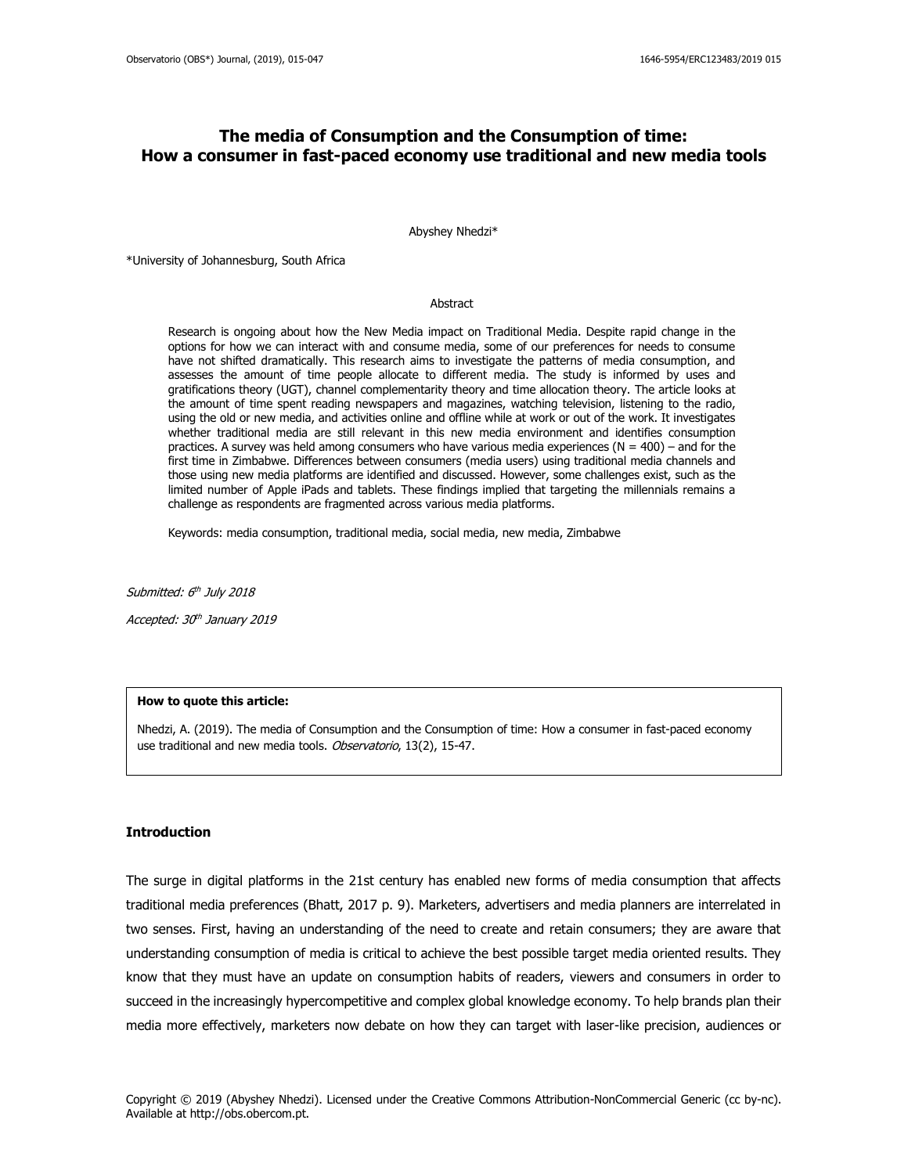# **The media of Consumption and the Consumption of time: How a consumer in fast-paced economy use traditional and new media tools**

Abyshey Nhedzi\*

\*University of Johannesburg, South Africa

#### Abstract

Research is ongoing about how the New Media impact on Traditional Media. Despite rapid change in the options for how we can interact with and consume media, some of our preferences for needs to consume have not shifted dramatically. This research aims to investigate the patterns of media consumption, and assesses the amount of time people allocate to different media. The study is informed by uses and gratifications theory (UGT), channel complementarity theory and time allocation theory. The article looks at the amount of time spent reading newspapers and magazines, watching television, listening to the radio, using the old or new media, and activities online and offline while at work or out of the work. It investigates whether traditional media are still relevant in this new media environment and identifies consumption practices. A survey was held among consumers who have various media experiences ( $N = 400$ ) – and for the first time in Zimbabwe. Differences between consumers (media users) using traditional media channels and those using new media platforms are identified and discussed. However, some challenges exist, such as the limited number of Apple iPads and tablets. These findings implied that targeting the millennials remains a challenge as respondents are fragmented across various media platforms.

Keywords: media consumption, traditional media, social media, new media, Zimbabwe

Submitted: 6<sup>th</sup> July 2018

Accepted: 30th January 2019

#### **How to quote this article:**

Nhedzi, A. (2019). The media of Consumption and the Consumption of time: How a consumer in fast-paced economy use traditional and new media tools. Observatorio, 13(2), 15-47.

#### **Introduction**

The surge in digital platforms in the 21st century has enabled new forms of media consumption that affects traditional media preferences (Bhatt, 2017 p. 9). Marketers, advertisers and media planners are interrelated in two senses. First, having an understanding of the need to create and retain consumers; they are aware that understanding consumption of media is critical to achieve the best possible target media oriented results. They know that they must have an update on consumption habits of readers, viewers and consumers in order to succeed in the increasingly hypercompetitive and complex global knowledge economy. To help brands plan their media more effectively, marketers now debate on how they can target with laser-like precision, audiences or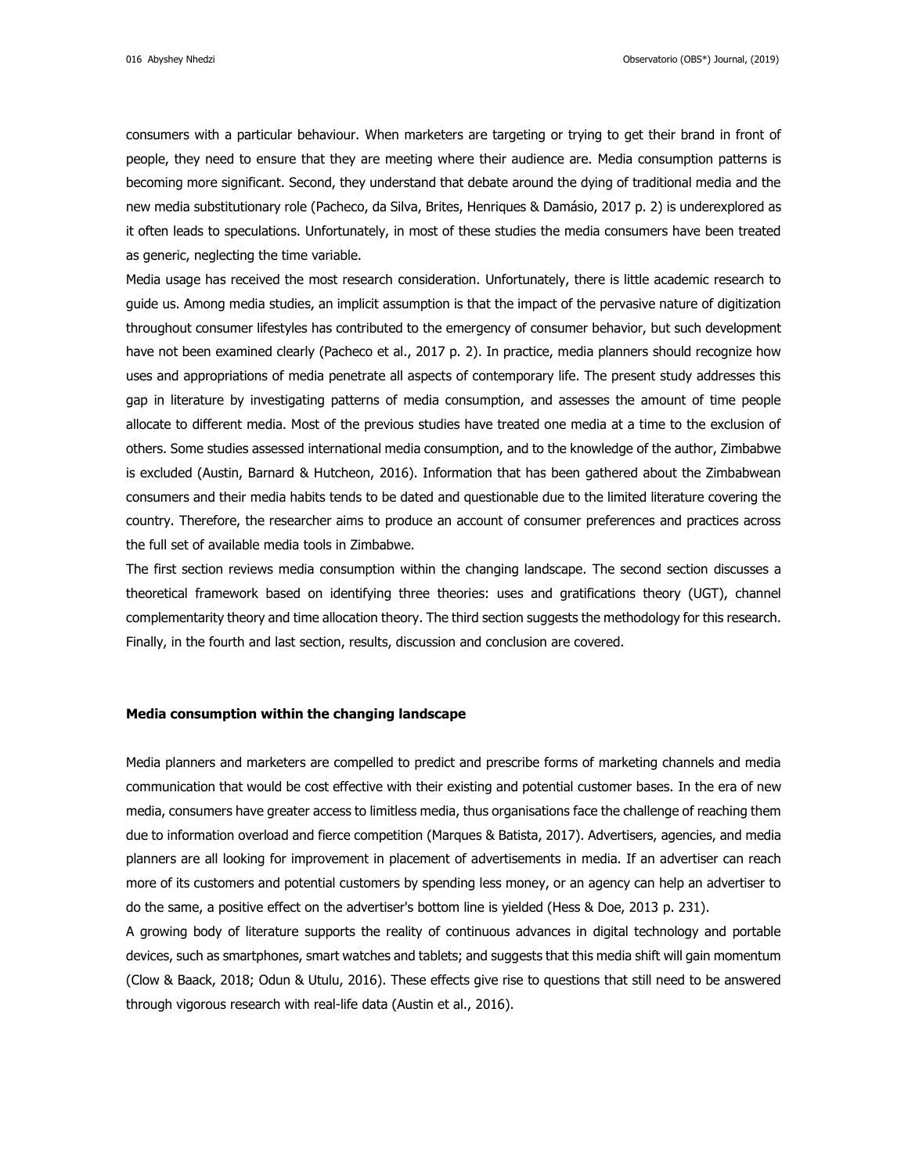016 Abyshey Nhedzi Observatorio (OBS\*) Journal, (2019)

consumers with a particular behaviour. When marketers are targeting or trying to get their brand in front of people, they need to ensure that they are meeting where their audience are. Media consumption patterns is becoming more significant. Second, they understand that debate around the dying of traditional media and the new media substitutionary role (Pacheco, da Silva, Brites, Henriques & Damásio, 2017 p. 2) is underexplored as it often leads to speculations. Unfortunately, in most of these studies the media consumers have been treated as generic, neglecting the time variable.

Media usage has received the most research consideration. Unfortunately, there is little academic research to guide us. Among media studies, an implicit assumption is that the impact of the pervasive nature of digitization throughout consumer lifestyles has contributed to the emergency of consumer behavior, but such development have not been examined clearly (Pacheco et al., 2017 p. 2). In practice, media planners should recognize how uses and appropriations of media penetrate all aspects of contemporary life. The present study addresses this gap in literature by investigating patterns of media consumption, and assesses the amount of time people allocate to different media. Most of the previous studies have treated one media at a time to the exclusion of others. Some studies assessed international media consumption, and to the knowledge of the author, Zimbabwe is excluded (Austin, Barnard & Hutcheon, 2016). Information that has been gathered about the Zimbabwean consumers and their media habits tends to be dated and questionable due to the limited literature covering the country. Therefore, the researcher aims to produce an account of consumer preferences and practices across the full set of available media tools in Zimbabwe.

The first section reviews media consumption within the changing landscape. The second section discusses a theoretical framework based on identifying three theories: uses and gratifications theory (UGT), channel complementarity theory and time allocation theory. The third section suggests the methodology for this research. Finally, in the fourth and last section, results, discussion and conclusion are covered.

### **Media consumption within the changing landscape**

Media planners and marketers are compelled to predict and prescribe forms of marketing channels and media communication that would be cost effective with their existing and potential customer bases. In the era of new media, consumers have greater access to limitless media, thus organisations face the challenge of reaching them due to information overload and fierce competition (Marques & Batista, 2017). Advertisers, agencies, and media planners are all looking for improvement in placement of advertisements in media. If an advertiser can reach more of its customers and potential customers by spending less money, or an agency can help an advertiser to do the same, a positive effect on the advertiser's bottom line is yielded (Hess & Doe, 2013 p. 231).

A growing body of literature supports the reality of continuous advances in digital technology and portable devices, such as smartphones, smart watches and tablets; and suggests that this media shift will gain momentum (Clow & Baack, 2018; Odun & Utulu, 2016). These effects give rise to questions that still need to be answered through vigorous research with real-life data (Austin et al., 2016).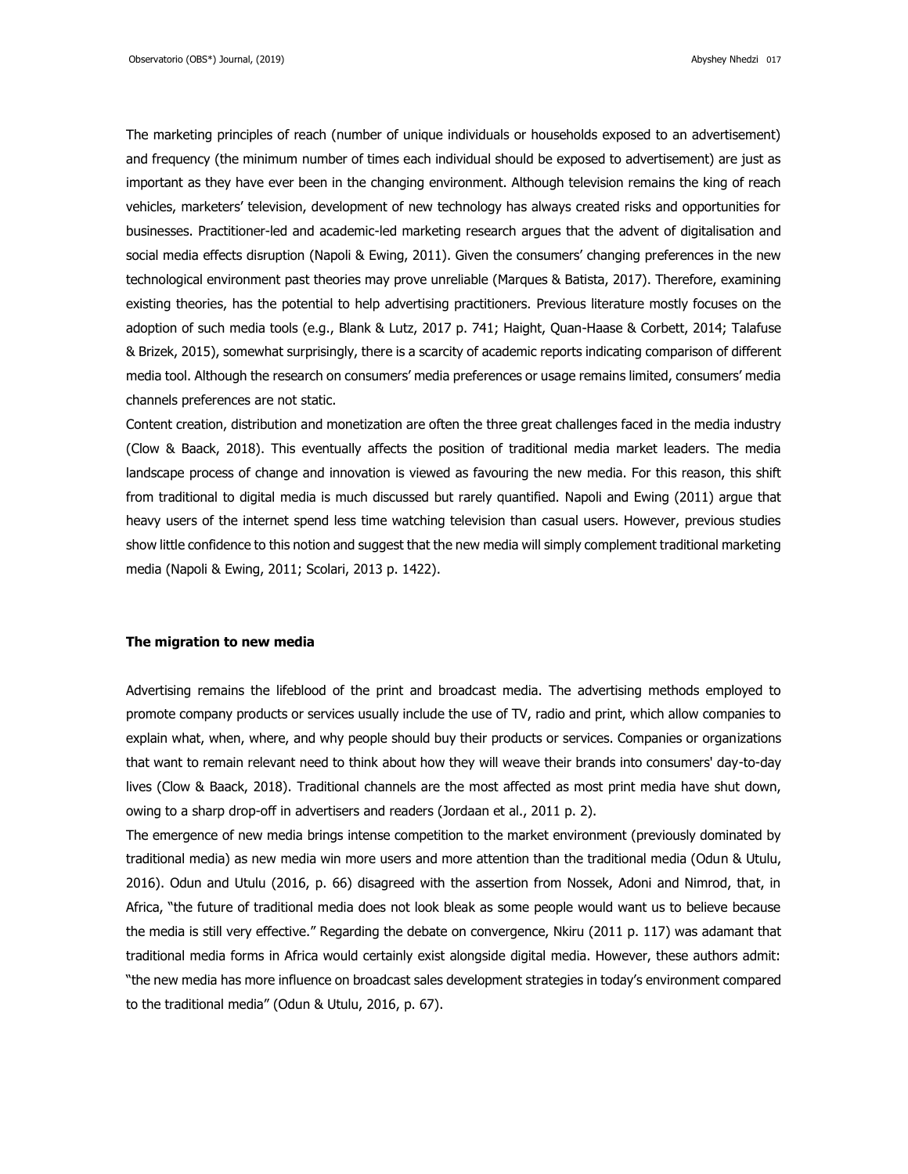The marketing principles of reach (number of unique individuals or households exposed to an advertisement) and frequency (the minimum number of times each individual should be exposed to advertisement) are just as important as they have ever been in the changing environment. Although television remains the king of reach vehicles, marketers' television, development of new technology has always created risks and opportunities for businesses. Practitioner-led and academic-led marketing research argues that the advent of digitalisation and social media effects disruption (Napoli & Ewing, 2011). Given the consumers' changing preferences in the new technological environment past theories may prove unreliable (Marques & Batista, 2017). Therefore, examining existing theories, has the potential to help advertising practitioners. Previous literature mostly focuses on the adoption of such media tools (e.g., Blank & Lutz, 2017 p. 741; Haight, Quan-Haase & Corbett, 2014; Talafuse & Brizek, 2015), somewhat surprisingly, there is a scarcity of academic reports indicating comparison of different media tool. Although the research on consumers' media preferences or usage remains limited, consumers' media channels preferences are not static.

Content creation, distribution and monetization are often the three great challenges faced in the media industry (Clow & Baack, 2018). This eventually affects the position of traditional media market leaders. The media landscape process of change and innovation is viewed as favouring the new media. For this reason, this shift from traditional to digital media is much discussed but rarely quantified. Napoli and Ewing (2011) argue that heavy users of the internet spend less time watching television than casual users. However, previous studies show little confidence to this notion and suggest that the new media will simply complement traditional marketing media (Napoli & Ewing, 2011; Scolari, 2013 p. 1422).

#### **The migration to new media**

Advertising remains the lifeblood of the print and broadcast media. The advertising methods employed to promote company products or services usually include the use of TV, radio and print, which allow companies to explain what, when, where, and why people should buy their products or services. Companies or organizations that want to remain relevant need to think about how they will weave their brands into consumers' day-to-day lives (Clow & Baack, 2018). Traditional channels are the most affected as most print media have shut down, owing to a sharp drop-off in advertisers and readers (Jordaan et al., 2011 p. 2).

The emergence of new media brings intense competition to the market environment (previously dominated by traditional media) as new media win more users and more attention than the traditional media (Odun & Utulu, 2016). Odun and Utulu (2016, p. 66) disagreed with the assertion from Nossek, Adoni and Nimrod, that, in Africa, "the future of traditional media does not look bleak as some people would want us to believe because the media is still very effective." Regarding the debate on convergence, Nkiru (2011 p. 117) was adamant that traditional media forms in Africa would certainly exist alongside digital media. However, these authors admit: "the new media has more influence on broadcast sales development strategies in today's environment compared to the traditional media" (Odun & Utulu, 2016, p. 67).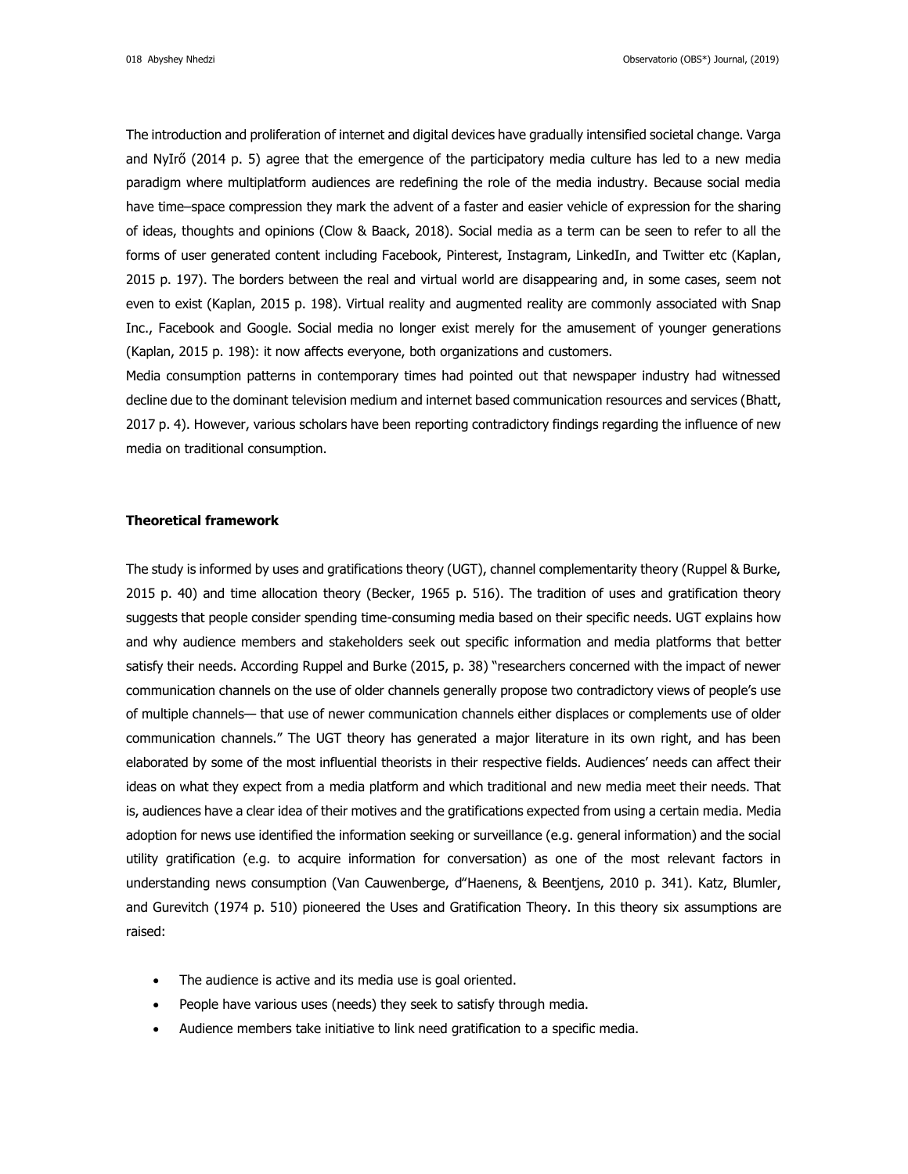The introduction and proliferation of internet and digital devices have gradually intensified societal change. Varga and NyIrő (2014 p. 5) agree that the emergence of the participatory media culture has led to a new media paradigm where multiplatform audiences are redefining the role of the media industry. Because social media have time–space compression they mark the advent of a faster and easier vehicle of expression for the sharing of ideas, thoughts and opinions (Clow & Baack, 2018). Social media as a term can be seen to refer to all the forms of user generated content including Facebook, Pinterest, Instagram, LinkedIn, and Twitter etc (Kaplan, 2015 p. 197). The borders between the real and virtual world are disappearing and, in some cases, seem not even to exist (Kaplan, 2015 p. 198). Virtual reality and augmented reality are commonly associated with Snap Inc., Facebook and Google. Social media no longer exist merely for the amusement of younger generations (Kaplan, 2015 p. 198): it now affects everyone, both organizations and customers.

Media consumption patterns in contemporary times had pointed out that newspaper industry had witnessed decline due to the dominant television medium and internet based communication resources and services (Bhatt, 2017 p. 4). However, various scholars have been reporting contradictory findings regarding the influence of new media on traditional consumption.

## **Theoretical framework**

The study is informed by uses and gratifications theory (UGT), channel complementarity theory (Ruppel & Burke, 2015 p. 40) and time allocation theory (Becker, 1965 p. 516). The tradition of uses and gratification theory suggests that people consider spending time-consuming media based on their specific needs. UGT explains how and why audience members and stakeholders seek out specific information and media platforms that better satisfy their needs. According Ruppel and Burke (2015, p. 38) "researchers concerned with the impact of newer communication channels on the use of older channels generally propose two contradictory views of people's use of multiple channels— that use of newer communication channels either displaces or complements use of older communication channels." The UGT theory has generated a major literature in its own right, and has been elaborated by some of the most influential theorists in their respective fields. Audiences' needs can affect their ideas on what they expect from a media platform and which traditional and new media meet their needs. That is, audiences have a clear idea of their motives and the gratifications expected from using a certain media. Media adoption for news use identified the information seeking or surveillance (e.g. general information) and the social utility gratification (e.g. to acquire information for conversation) as one of the most relevant factors in understanding news consumption (Van Cauwenberge, d"Haenens, & Beentjens, 2010 p. 341). Katz, Blumler, and Gurevitch (1974 p. 510) pioneered the Uses and Gratification Theory. In this theory six assumptions are raised:

- The audience is active and its media use is goal oriented.
- People have various uses (needs) they seek to satisfy through media.
- Audience members take initiative to link need gratification to a specific media.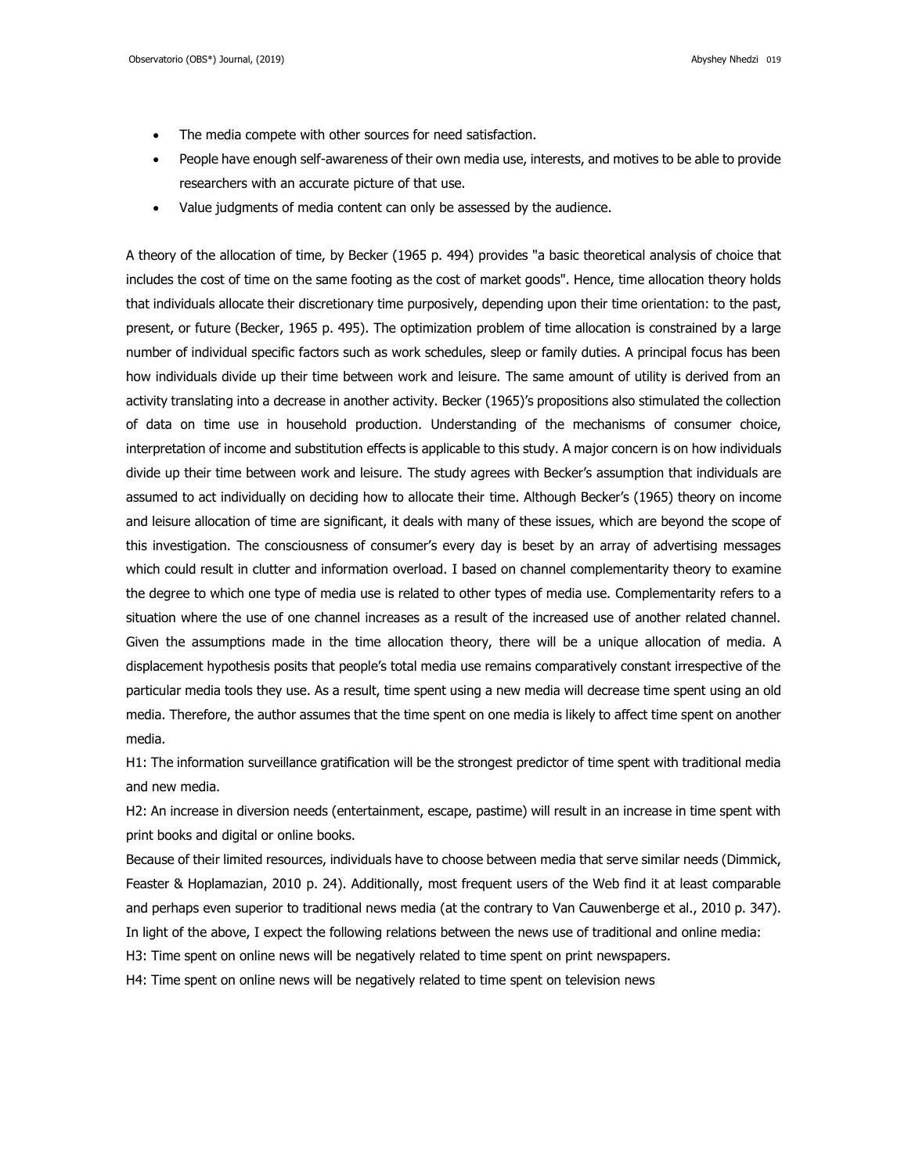- The media compete with other sources for need satisfaction.
- People have enough self-awareness of their own media use, interests, and motives to be able to provide researchers with an accurate picture of that use.
- Value judgments of media content can only be assessed by the audience.

A theory of the allocation of time, by Becker (1965 p. 494) provides "a basic theoretical analysis of choice that includes the cost of time on the same footing as the cost of market goods". Hence, time allocation theory holds that individuals allocate their discretionary time purposively, depending upon their time orientation: to the past, present, or future (Becker, 1965 p. 495). The optimization problem of time allocation is constrained by a large number of individual specific factors such as work schedules, sleep or family duties. A principal focus has been how individuals divide up their time between work and leisure. The same amount of utility is derived from an activity translating into a decrease in another activity. Becker (1965)'s propositions also stimulated the collection of data on time use in household production. Understanding of the mechanisms of consumer choice, interpretation of income and substitution effects is applicable to this study. A major concern is on how individuals divide up their time between work and leisure. The study agrees with Becker's assumption that individuals are assumed to act individually on deciding how to allocate their time. Although Becker's (1965) theory on income and leisure allocation of time are significant, it deals with many of these issues, which are beyond the scope of this investigation. The consciousness of consumer's every day is beset by an array of advertising messages which could result in clutter and information overload. I based on channel complementarity theory to examine the degree to which one type of media use is related to other types of media use. Complementarity refers to a situation where the use of one channel increases as a result of the increased use of another related channel. Given the assumptions made in the time allocation theory, there will be a unique allocation of media. A displacement hypothesis posits that people's total media use remains comparatively constant irrespective of the particular media tools they use. As a result, time spent using a new media will decrease time spent using an old media. Therefore, the author assumes that the time spent on one media is likely to affect time spent on another media.

H1: The information surveillance gratification will be the strongest predictor of time spent with traditional media and new media.

H2: An increase in diversion needs (entertainment, escape, pastime) will result in an increase in time spent with print books and digital or online books.

Because of their limited resources, individuals have to choose between media that serve similar needs (Dimmick, Feaster & Hoplamazian, 2010 p. 24). Additionally, most frequent users of the Web find it at least comparable and perhaps even superior to traditional news media (at the contrary to Van Cauwenberge et al., 2010 p. 347). In light of the above, I expect the following relations between the news use of traditional and online media:

H3: Time spent on online news will be negatively related to time spent on print newspapers.

H4: Time spent on online news will be negatively related to time spent on television news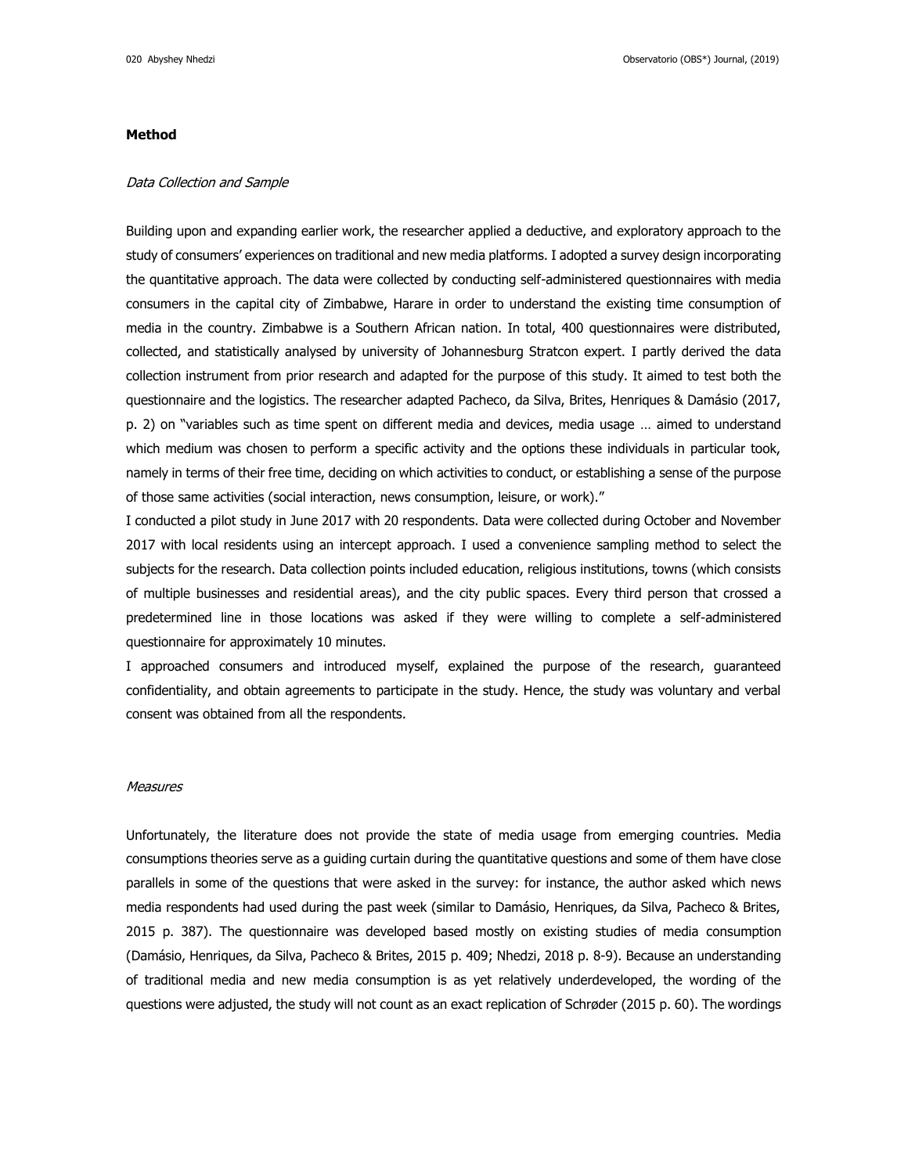### **Method**

#### Data Collection and Sample

Building upon and expanding earlier work, the researcher applied a deductive, and exploratory approach to the study of consumers' experiences on traditional and new media platforms. I adopted a survey design incorporating the quantitative approach. The data were collected by conducting self-administered questionnaires with media consumers in the capital city of Zimbabwe, Harare in order to understand the existing time consumption of media in the country. Zimbabwe is a Southern African nation. In total, 400 questionnaires were distributed, collected, and statistically analysed by university of Johannesburg Stratcon expert. I partly derived the data collection instrument from prior research and adapted for the purpose of this study. It aimed to test both the questionnaire and the logistics. The researcher adapted Pacheco, da Silva, Brites, Henriques & Damásio (2017, p. 2) on "variables such as time spent on different media and devices, media usage … aimed to understand which medium was chosen to perform a specific activity and the options these individuals in particular took, namely in terms of their free time, deciding on which activities to conduct, or establishing a sense of the purpose of those same activities (social interaction, news consumption, leisure, or work)."

I conducted a pilot study in June 2017 with 20 respondents. Data were collected during October and November 2017 with local residents using an intercept approach. I used a convenience sampling method to select the subjects for the research. Data collection points included education, religious institutions, towns (which consists of multiple businesses and residential areas), and the city public spaces. Every third person that crossed a predetermined line in those locations was asked if they were willing to complete a self-administered questionnaire for approximately 10 minutes.

I approached consumers and introduced myself, explained the purpose of the research, guaranteed confidentiality, and obtain agreements to participate in the study. Hence, the study was voluntary and verbal consent was obtained from all the respondents.

#### **Measures**

Unfortunately, the literature does not provide the state of media usage from emerging countries. Media consumptions theories serve as a guiding curtain during the quantitative questions and some of them have close parallels in some of the questions that were asked in the survey: for instance, the author asked which news media respondents had used during the past week (similar to Damásio, Henriques, da Silva, Pacheco & Brites, 2015 p. 387). The questionnaire was developed based mostly on existing studies of media consumption (Damásio, Henriques, da Silva, Pacheco & Brites, 2015 p. 409; Nhedzi, 2018 p. 8-9). Because an understanding of traditional media and new media consumption is as yet relatively underdeveloped, the wording of the questions were adjusted, the study will not count as an exact replication of Schrøder (2015 p. 60). The wordings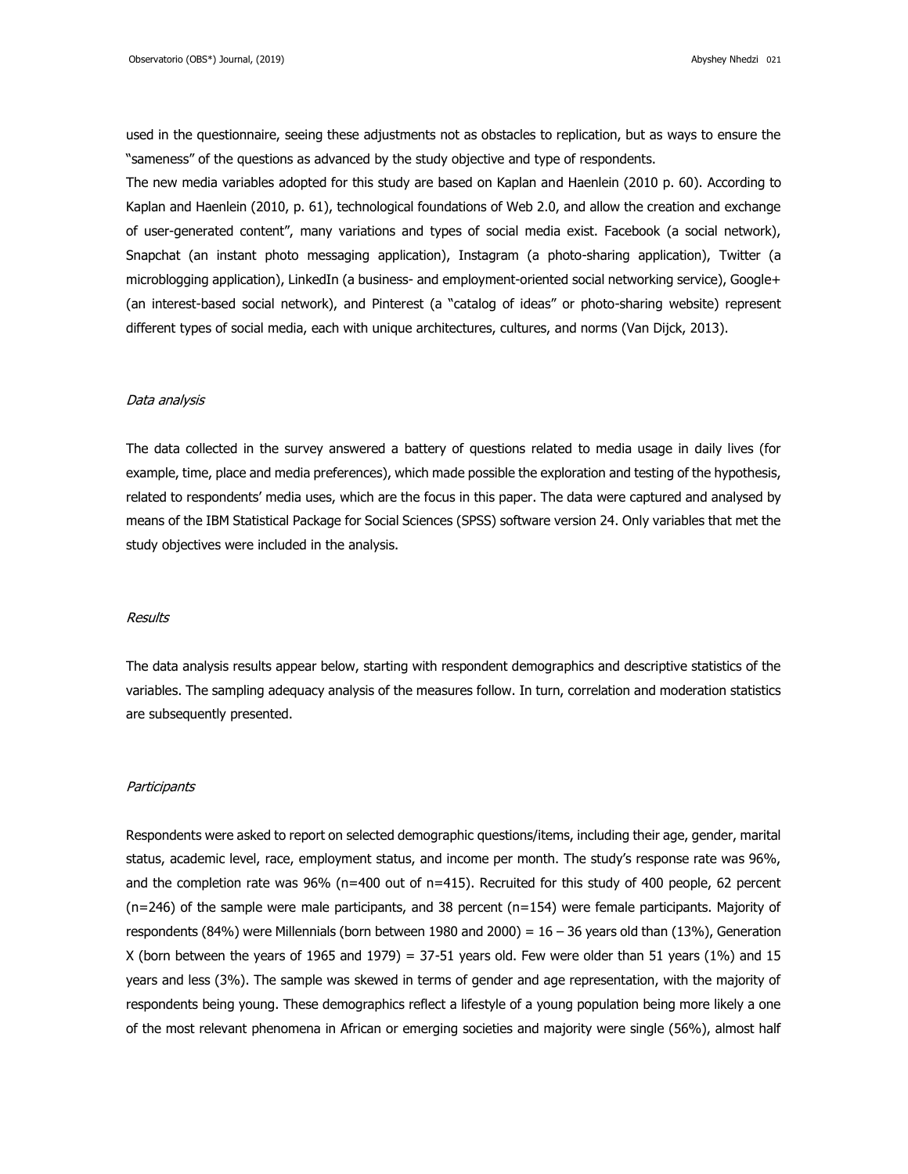used in the questionnaire, seeing these adjustments not as obstacles to replication, but as ways to ensure the "sameness" of the questions as advanced by the study objective and type of respondents.

The new media variables adopted for this study are based on Kaplan and Haenlein (2010 p. 60). According to Kaplan and Haenlein (2010, p. 61), technological foundations of Web 2.0, and allow the creation and exchange of user-generated content", many variations and types of social media exist. Facebook (a social network), Snapchat (an instant photo messaging application), Instagram (a photo-sharing application), Twitter (a microblogging application), LinkedIn (a business- and employment-oriented social networking service), Google+ (an interest-based social network), and Pinterest (a "catalog of ideas" or photo-sharing website) represent different types of social media, each with unique architectures, cultures, and norms (Van Dijck, 2013).

#### Data analysis

The data collected in the survey answered a battery of questions related to media usage in daily lives (for example, time, place and media preferences), which made possible the exploration and testing of the hypothesis, related to respondents' media uses, which are the focus in this paper. The data were captured and analysed by means of the IBM Statistical Package for Social Sciences (SPSS) software version 24. Only variables that met the study objectives were included in the analysis.

#### Results

The data analysis results appear below, starting with respondent demographics and descriptive statistics of the variables. The sampling adequacy analysis of the measures follow. In turn, correlation and moderation statistics are subsequently presented.

#### Participants

Respondents were asked to report on selected demographic questions/items, including their age, gender, marital status, academic level, race, employment status, and income per month. The study's response rate was 96%, and the completion rate was 96% (n=400 out of n=415). Recruited for this study of 400 people, 62 percent (n=246) of the sample were male participants, and 38 percent (n=154) were female participants. Majority of respondents (84%) were Millennials (born between 1980 and 2000) =  $16 - 36$  years old than (13%), Generation X (born between the years of 1965 and 1979) = 37-51 years old. Few were older than 51 years (1%) and 15 years and less (3%). The sample was skewed in terms of gender and age representation, with the majority of respondents being young. These demographics reflect a lifestyle of a young population being more likely a one of the most relevant phenomena in African or emerging societies and majority were single (56%), almost half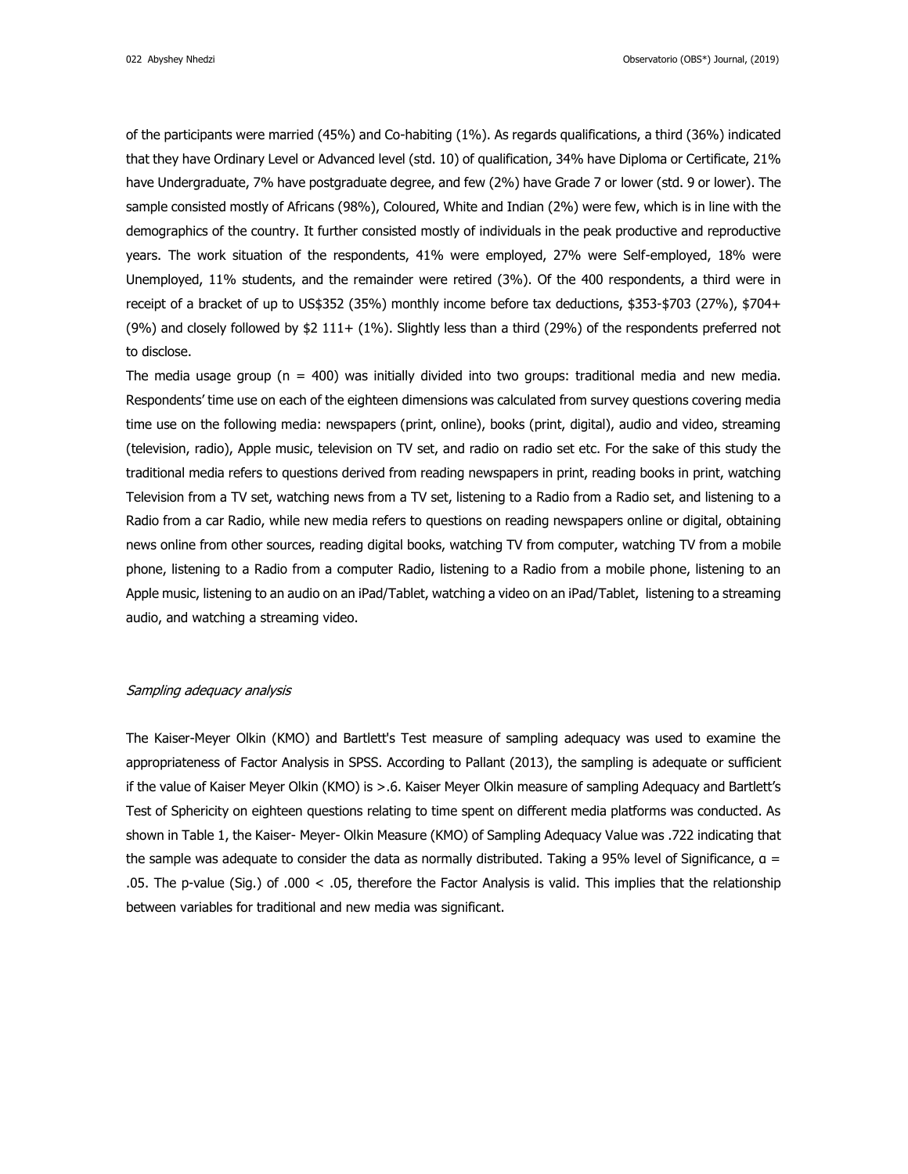of the participants were married (45%) and Co-habiting (1%). As regards qualifications, a third (36%) indicated that they have Ordinary Level or Advanced level (std. 10) of qualification, 34% have Diploma or Certificate, 21% have Undergraduate, 7% have postgraduate degree, and few (2%) have Grade 7 or lower (std. 9 or lower). The sample consisted mostly of Africans (98%), Coloured, White and Indian (2%) were few, which is in line with the demographics of the country. It further consisted mostly of individuals in the peak productive and reproductive years. The work situation of the respondents, 41% were employed, 27% were Self-employed, 18% were Unemployed, 11% students, and the remainder were retired (3%). Of the 400 respondents, a third were in receipt of a bracket of up to US\$352 (35%) monthly income before tax deductions, \$353-\$703 (27%), \$704+ (9%) and closely followed by \$2 111+ (1%). Slightly less than a third (29%) of the respondents preferred not to disclose.

The media usage group ( $n = 400$ ) was initially divided into two groups: traditional media and new media. Respondents' time use on each of the eighteen dimensions was calculated from survey questions covering media time use on the following media: newspapers (print, online), books (print, digital), audio and video, streaming (television, radio), Apple music, television on TV set, and radio on radio set etc. For the sake of this study the traditional media refers to questions derived from reading newspapers in print, reading books in print, watching Television from a TV set, watching news from a TV set, listening to a Radio from a Radio set, and listening to a Radio from a car Radio, while new media refers to questions on reading newspapers online or digital, obtaining news online from other sources, reading digital books, watching TV from computer, watching TV from a mobile phone, listening to a Radio from a computer Radio, listening to a Radio from a mobile phone, listening to an Apple music, listening to an audio on an iPad/Tablet, watching a video on an iPad/Tablet, listening to a streaming audio, and watching a streaming video.

#### Sampling adequacy analysis

The Kaiser-Meyer Olkin (KMO) and Bartlett's Test measure of sampling adequacy was used to examine the appropriateness of Factor Analysis in SPSS. According to Pallant (2013), the sampling is adequate or sufficient if the value of Kaiser Meyer Olkin (KMO) is >.6. Kaiser Meyer Olkin measure of sampling Adequacy and Bartlett's Test of Sphericity on eighteen questions relating to time spent on different media platforms was conducted. As shown in Table 1, the Kaiser- Meyer- Olkin Measure (KMO) of Sampling Adequacy Value was .722 indicating that the sample was adequate to consider the data as normally distributed. Taking a 95% level of Significance,  $a =$ .05. The p-value (Sig.) of .000 < .05, therefore the Factor Analysis is valid. This implies that the relationship between variables for traditional and new media was significant.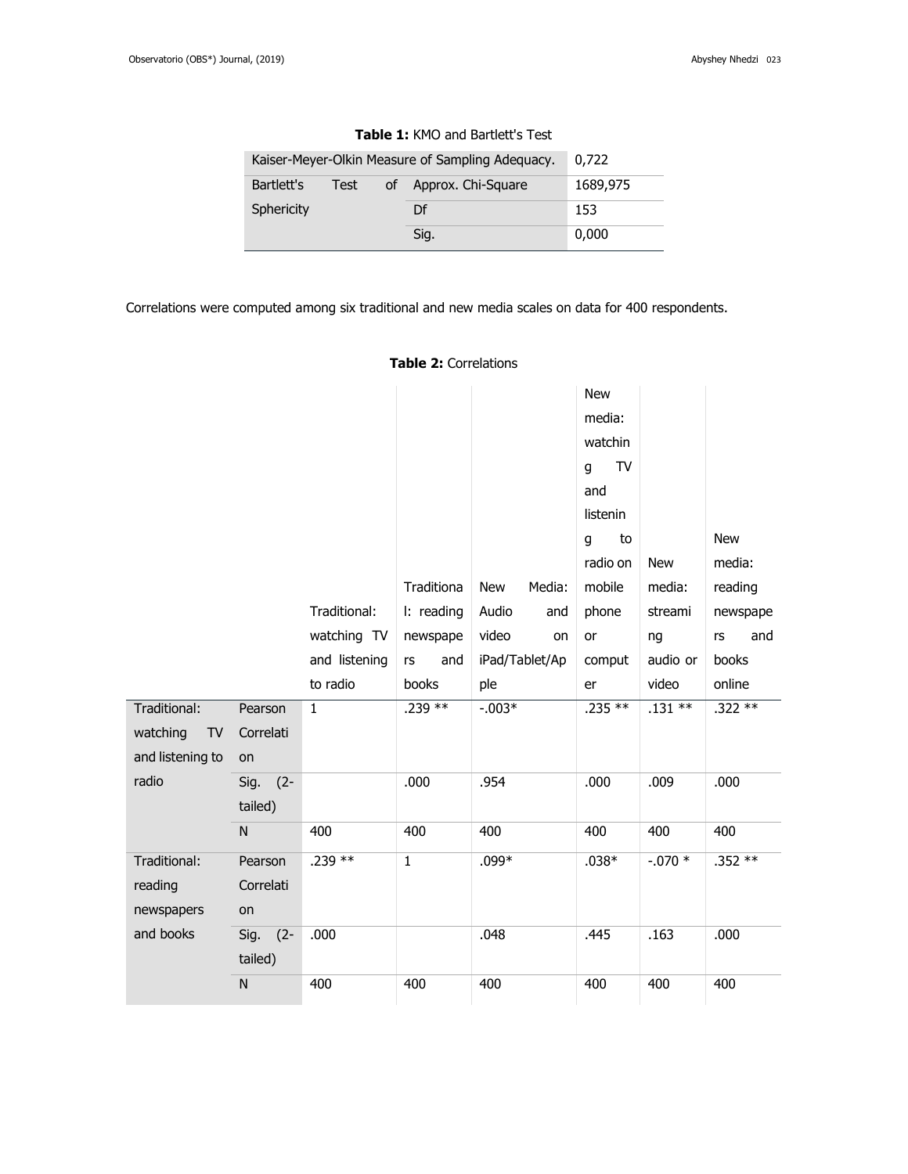| Kaiser-Meyer-Olkin Measure of Sampling Adequacy. | 0,722 |    |                    |          |
|--------------------------------------------------|-------|----|--------------------|----------|
| Bartlett's                                       | Test  | οf | Approx. Chi-Square | 1689,975 |
| Sphericity                                       |       |    | Df                 | 153      |
|                                                  |       |    | Sig.               | 0,000    |

## **Table 1:** KMO and Bartlett's Test

Correlations were computed among six traditional and new media scales on data for 400 respondents.

|                                       |                            |               |              |                      | <b>New</b><br>media:<br>watchin<br>TV<br>g<br>and |            |                      |
|---------------------------------------|----------------------------|---------------|--------------|----------------------|---------------------------------------------------|------------|----------------------|
|                                       |                            |               |              |                      | listenin                                          |            |                      |
|                                       |                            |               |              |                      | to<br>q<br>radio on                               | <b>New</b> | <b>New</b><br>media: |
|                                       |                            |               | Traditiona   | Media:<br><b>New</b> | mobile                                            | media:     | reading              |
|                                       |                            | Traditional:  | I: reading   | Audio<br>and         | phone                                             | streami    | newspape             |
|                                       |                            | watching TV   | newspape     | video<br>on          | or                                                | ng         | rs<br>and            |
|                                       |                            | and listening | and<br>rs    | iPad/Tablet/Ap       | comput                                            | audio or   | books                |
|                                       |                            | to radio      | books        | ple                  | er                                                | video      | online               |
| Traditional:                          | Pearson                    | $\mathbf{1}$  | .239 **      | $-.003*$             | $.235**$                                          | $.131***$  | .322 **              |
| watching<br>TV                        | Correlati                  |               |              |                      |                                                   |            |                      |
| and listening to                      | on                         |               |              |                      |                                                   |            |                      |
| radio                                 | $(2 -$<br>Sig.<br>tailed)  |               | .000         | .954                 | .000                                              | .009       | .000                 |
|                                       | ${\sf N}$                  | 400           | 400          | 400                  | 400                                               | 400        | 400                  |
| Traditional:<br>reading<br>newspapers | Pearson<br>Correlati<br>on | .239 **       | $\mathbf{1}$ | $.099*$              | $.038*$                                           | $-.070*$   | .352 **              |
| and books                             | $(2 -$<br>Sig.<br>tailed)  | .000          |              | .048                 | .445                                              | .163       | .000                 |
|                                       | N                          | 400           | 400          | 400                  | 400                                               | 400        | 400                  |

**Table 2:** Correlations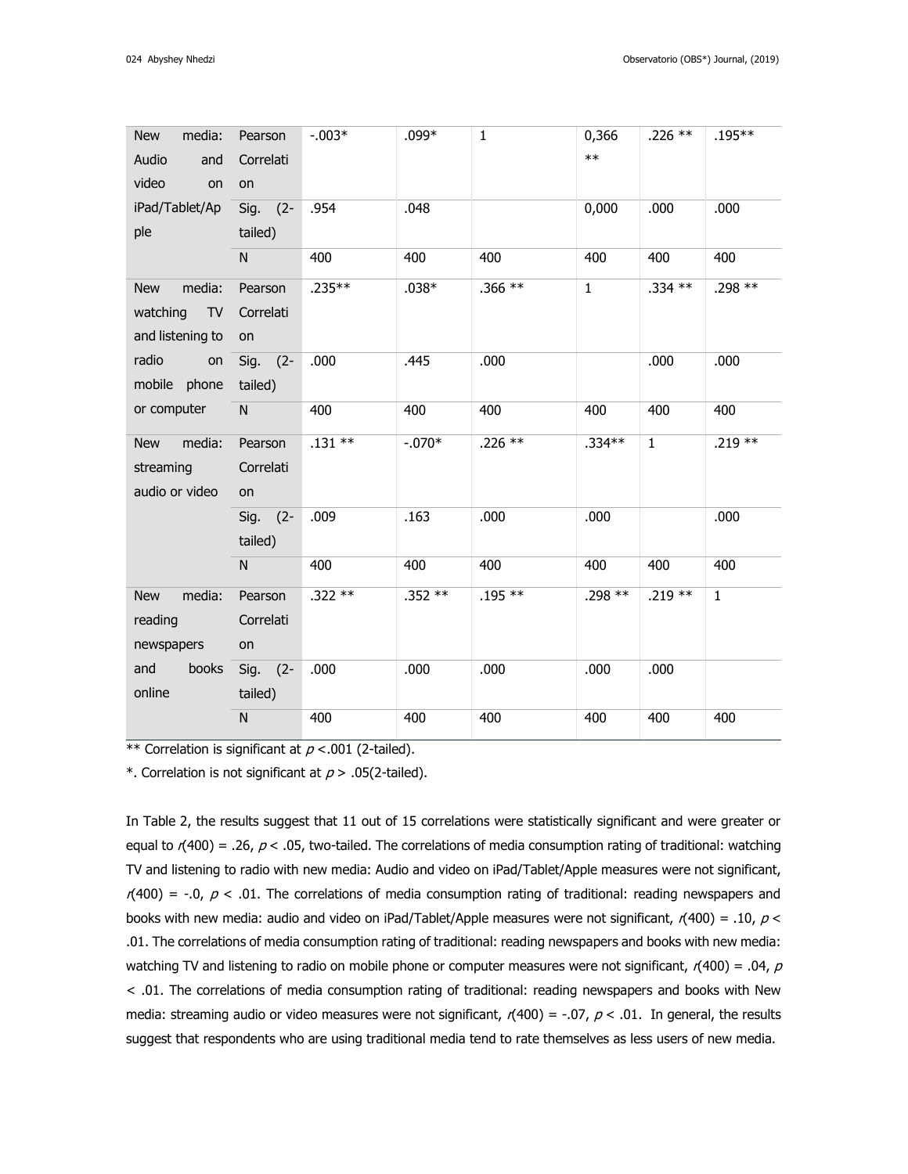| media:<br><b>New</b>  | Pearson   | $-.003*$ | $.099*$  | $\mathbf{1}$ | 0,366        | $.226$ **    | $.195***$    |
|-----------------------|-----------|----------|----------|--------------|--------------|--------------|--------------|
| Audio<br>and          | Correlati |          |          |              | $**$         |              |              |
| video<br>on           | on        |          |          |              |              |              |              |
| iPad/Tablet/Ap        | Sig. (2-  | .954     | .048     |              | 0,000        | .000         | .000         |
| ple                   | tailed)   |          |          |              |              |              |              |
|                       | N         | 400      | 400      | 400          | 400          | 400          | 400          |
| media:<br><b>New</b>  | Pearson   | $.235**$ | $.038*$  | $.366**$     | $\mathbf{1}$ | .334 **      | .298 **      |
| watching<br><b>TV</b> | Correlati |          |          |              |              |              |              |
| and listening to      | on        |          |          |              |              |              |              |
| radio<br>on           | Sig. (2-  | .000     | .445     | .000         |              | .000         | .000         |
| mobile phone          | tailed)   |          |          |              |              |              |              |
| or computer           | N         | 400      | 400      | 400          | 400          | 400          | 400          |
| media:<br><b>New</b>  | Pearson   | $.131**$ | $-.070*$ | $.226$ **    | $.334**$     | $\mathbf{1}$ | $.219**$     |
| streaming             | Correlati |          |          |              |              |              |              |
| audio or video        | on        |          |          |              |              |              |              |
|                       | Sig. (2-  | .009     | .163     | .000         | .000         |              | .000         |
|                       | tailed)   |          |          |              |              |              |              |
|                       | N.        | 400      | 400      | 400          | 400          | 400          | 400          |
| media:<br><b>New</b>  | Pearson   | $.322**$ | $.352**$ | $.195**$     | .298 **      | .219 **      | $\mathbf{1}$ |
| reading               | Correlati |          |          |              |              |              |              |
| newspapers            | on        |          |          |              |              |              |              |
| books<br>and          | Sig. (2-  | .000     | .000     | .000         | .000         | .000         |              |
| online                | tailed)   |          |          |              |              |              |              |
|                       | N         | 400      | 400      | 400          | 400          | 400          | 400          |

\*\* Correlation is significant at  $p < .001$  (2-tailed).

\*. Correlation is not significant at  $p > .05$ (2-tailed).

In Table 2, the results suggest that 11 out of 15 correlations were statistically significant and were greater or equal to  $r(400) = .26$ ,  $p < .05$ , two-tailed. The correlations of media consumption rating of traditional: watching TV and listening to radio with new media: Audio and video on iPad/Tablet/Apple measures were not significant,  $r(400) = -.0, p < .01$ . The correlations of media consumption rating of traditional: reading newspapers and books with new media: audio and video on iPad/Tablet/Apple measures were not significant,  $r(400) = .10$ ,  $p <$ .01. The correlations of media consumption rating of traditional: reading newspapers and books with new media: watching TV and listening to radio on mobile phone or computer measures were not significant,  $r(400) = .04$ ,  $p$ < .01. The correlations of media consumption rating of traditional: reading newspapers and books with New media: streaming audio or video measures were not significant,  $r(400) = -0.07$ ,  $p < 0.01$ . In general, the results suggest that respondents who are using traditional media tend to rate themselves as less users of new media.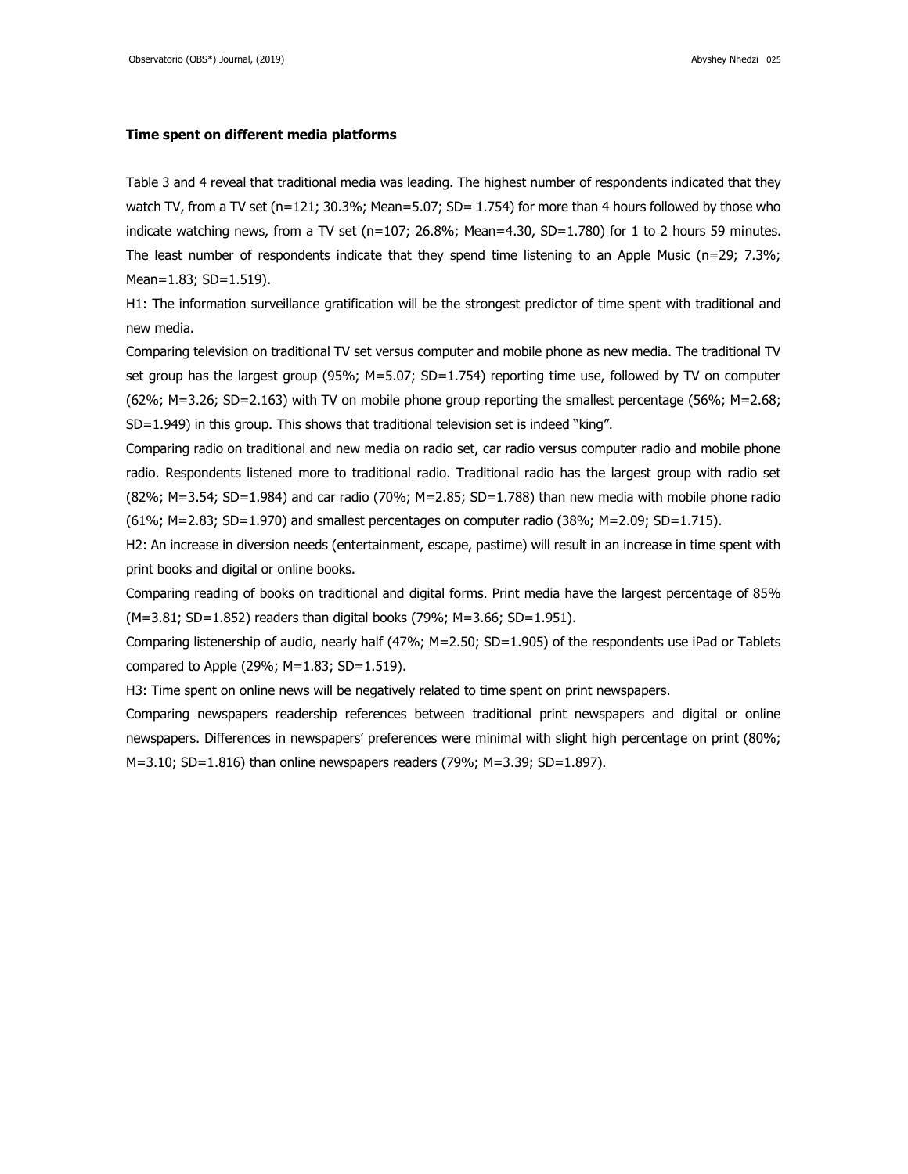#### **Time spent on different media platforms**

Table 3 and 4 reveal that traditional media was leading. The highest number of respondents indicated that they watch TV, from a TV set ( $n=121$ ; 30.3%; Mean=5.07; SD= 1.754) for more than 4 hours followed by those who indicate watching news, from a TV set (n=107; 26.8%; Mean=4.30, SD=1.780) for 1 to 2 hours 59 minutes. The least number of respondents indicate that they spend time listening to an Apple Music (n=29; 7.3%; Mean=1.83; SD=1.519).

H1: The information surveillance gratification will be the strongest predictor of time spent with traditional and new media.

Comparing television on traditional TV set versus computer and mobile phone as new media. The traditional TV set group has the largest group (95%; M=5.07; SD=1.754) reporting time use, followed by TV on computer (62%; M=3.26; SD=2.163) with TV on mobile phone group reporting the smallest percentage (56%; M=2.68; SD=1.949) in this group. This shows that traditional television set is indeed "king".

Comparing radio on traditional and new media on radio set, car radio versus computer radio and mobile phone radio. Respondents listened more to traditional radio. Traditional radio has the largest group with radio set (82%; M=3.54; SD=1.984) and car radio (70%; M=2.85; SD=1.788) than new media with mobile phone radio (61%; M=2.83; SD=1.970) and smallest percentages on computer radio (38%; M=2.09; SD=1.715).

H2: An increase in diversion needs (entertainment, escape, pastime) will result in an increase in time spent with print books and digital or online books.

Comparing reading of books on traditional and digital forms. Print media have the largest percentage of 85% (M=3.81; SD=1.852) readers than digital books (79%; M=3.66; SD=1.951).

Comparing listenership of audio, nearly half (47%; M=2.50; SD=1.905) of the respondents use iPad or Tablets compared to Apple (29%;  $M=1.83$ ; SD= $1.519$ ).

H3: Time spent on online news will be negatively related to time spent on print newspapers.

Comparing newspapers readership references between traditional print newspapers and digital or online newspapers. Differences in newspapers' preferences were minimal with slight high percentage on print (80%;  $M=3.10$ ; SD=1.816) than online newspapers readers (79%; M=3.39; SD=1.897).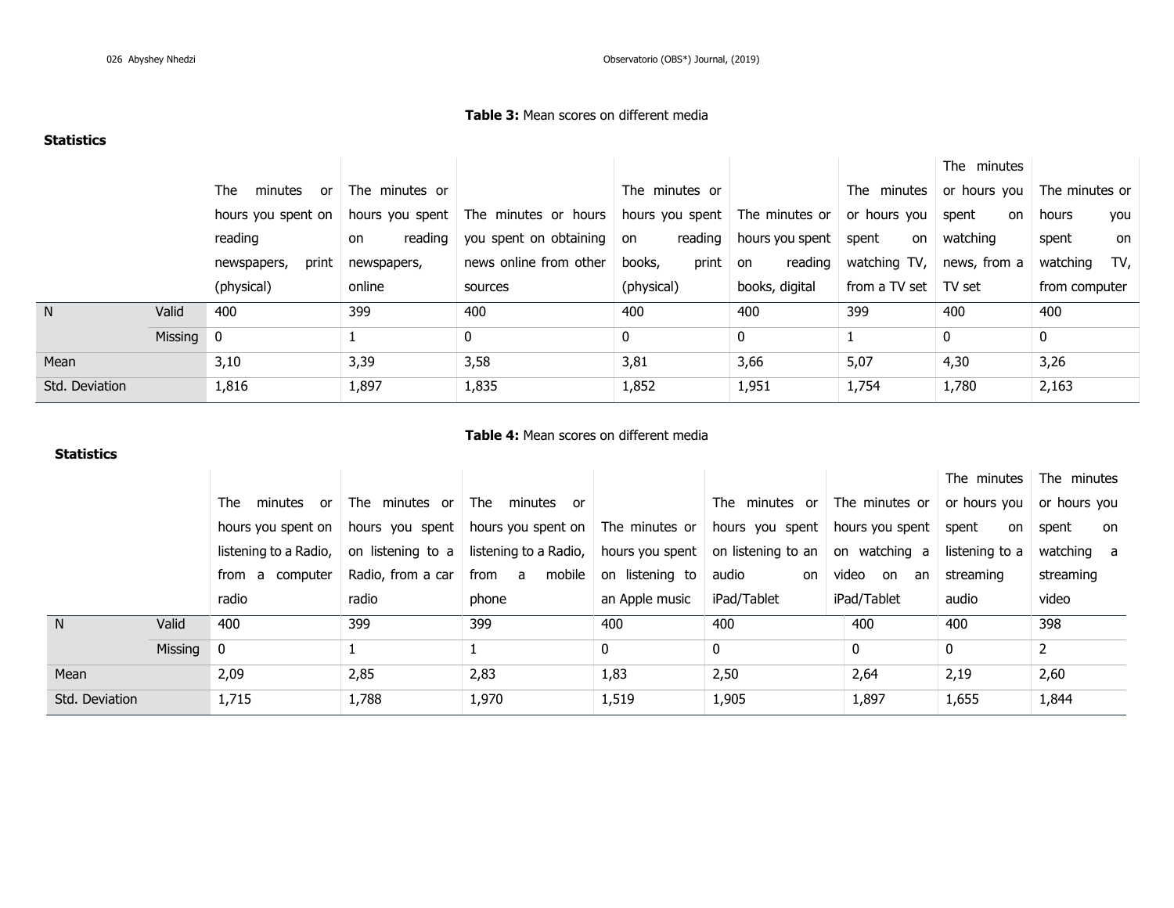# **Table 3:** Mean scores on different media

# **Statistics**

|                |           |                      |                |                                        |                           |                 |                             | The minutes  |                                     |
|----------------|-----------|----------------------|----------------|----------------------------------------|---------------------------|-----------------|-----------------------------|--------------|-------------------------------------|
|                |           | The<br>minutes<br>0r | The minutes or |                                        | The minutes or            |                 | The minutes                 |              | or hours you $\vert$ The minutes or |
|                |           | hours you spent on   |                | hours you spent   The minutes or hours | hours you spent           | The minutes or  | or hours you                | spent<br>on  | hours<br>you                        |
|                |           | reading              | reading<br>on  | you spent on obtaining on              | reading                   | hours you spent | spent<br>on                 | watching     | spent<br>on                         |
|                |           | print<br>newspapers, | newspapers,    | news online from other                 | $print \mid on$<br>books, | reading         | watching TV,                | news, from a | TV,<br>watching                     |
|                |           | (physical)           | online         | sources                                | (physical)                | books, digital  | from a TV set $\mid$ TV set |              | from computer                       |
| N <sub>1</sub> | Valid     | 400                  | 399            | 400                                    | 400                       | 400             | 399                         | 400          | 400                                 |
|                | Missing 0 |                      |                | $\mathbf{0}$                           | $\mathbf{0}$              | 0               |                             | $\mathbf 0$  | $\mathbf 0$                         |
| Mean           |           | 3,10                 | 3,39           | 3,58                                   | 3,81                      | 3,66            | 5,07                        | 4,30         | 3,26                                |
| Std. Deviation |           | 1,816                | 1,897          | 1,835                                  | 1,852                     | 1,951           | 1,754                       | 1,780        | 2,163                               |

# **Statistics**

## **Table 4:** Mean scores on different media

|                |         |                       |                   |                                                                                                                |                |                                                    |                | The minutes    | The minutes  |
|----------------|---------|-----------------------|-------------------|----------------------------------------------------------------------------------------------------------------|----------------|----------------------------------------------------|----------------|----------------|--------------|
|                |         | minutes or<br>The     | The minutes or    | The<br>minutes or                                                                                              |                | The minutes or The minutes or $\vert$ or hours you |                |                | or hours you |
|                |         |                       |                   | hours you spent on   hours you spent   hours you spent on   The minutes or   hours you spent   hours you spent |                |                                                    |                | spent<br>on    | spent<br>on  |
|                |         | listening to a Radio, | on listening to a | listening to a Radio, $\vert$ hours you spent $\vert$ on listening to an $\vert$ on watching a                 |                |                                                    |                | listening to a | watching a   |
|                |         | from a computer       | Radio, from a car | from a mobile on listening to                                                                                  |                | audio<br>on                                        | video on<br>an | streaming      | streaming    |
|                |         | radio                 | radio             | phone                                                                                                          | an Apple music | iPad/Tablet                                        | iPad/Tablet    | audio          | video        |
| N <sub>1</sub> | Valid   | 400                   | 399               | 399                                                                                                            | 400            | 400                                                | 400            | 400            | 398          |
|                | Missing | $\overline{0}$        |                   |                                                                                                                | 0              | 0                                                  | $\mathbf{0}$   | 0              |              |
| Mean           |         | 2,09                  | 2,85              | 2,83                                                                                                           | 1,83           | 2,50                                               | 2,64           | 2,19           | 2,60         |
| Std. Deviation |         | 1,715                 | 1,788             | 1,970                                                                                                          | 1,519          | 1,905                                              | 1,897          | 1,655          | 1,844        |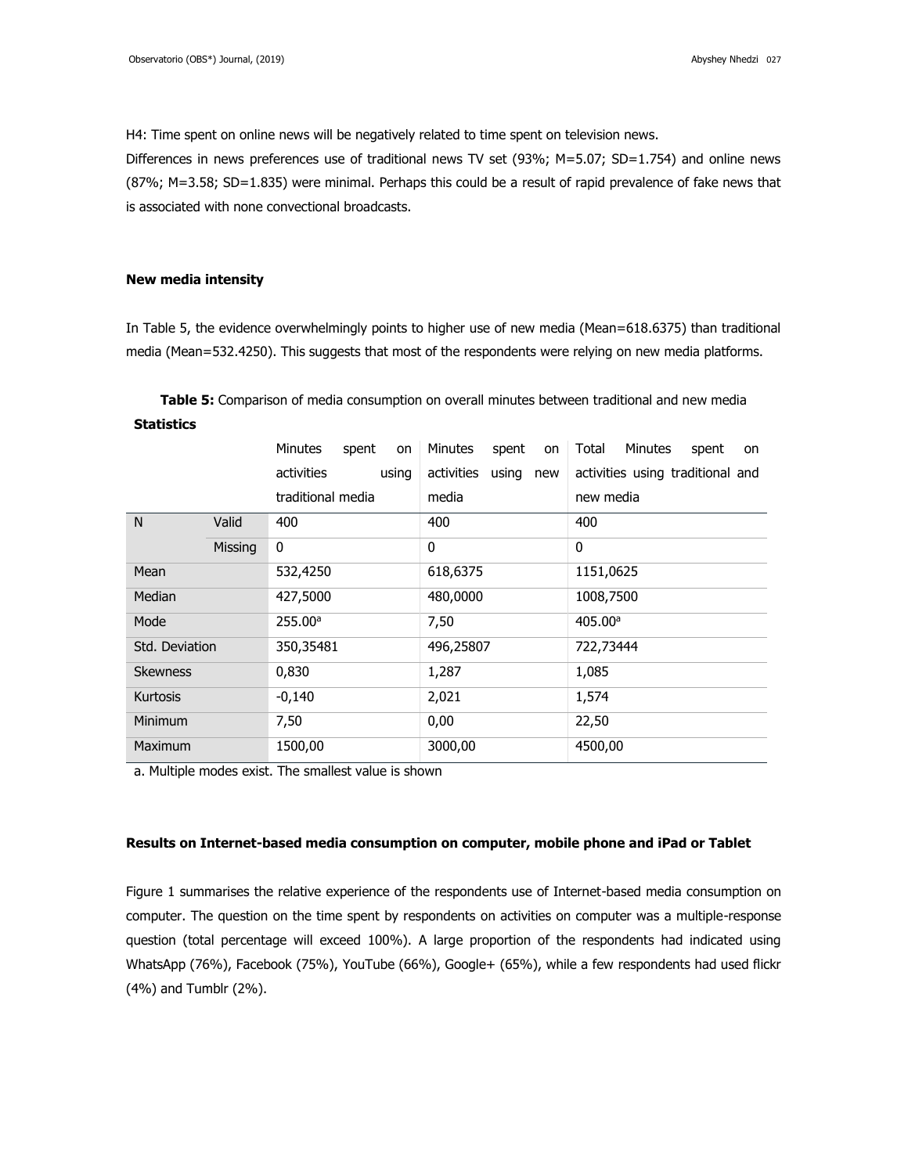H4: Time spent on online news will be negatively related to time spent on television news.

Differences in news preferences use of traditional news TV set (93%; M=5.07; SD=1.754) and online news (87%; M=3.58; SD=1.835) were minimal. Perhaps this could be a result of rapid prevalence of fake news that is associated with none convectional broadcasts.

### **New media intensity**

In Table 5, the evidence overwhelmingly points to higher use of new media (Mean=618.6375) than traditional media (Mean=532.4250). This suggests that most of the respondents were relying on new media platforms.

**Table 5:** Comparison of media consumption on overall minutes between traditional and new media **Statistics**

|                 |         | <b>Minutes</b>    | spent<br>on | <b>Minutes</b> | spent<br>on  | Total<br><b>Minutes</b>          | spent<br>on |
|-----------------|---------|-------------------|-------------|----------------|--------------|----------------------------------|-------------|
|                 |         | activities        | using       | activities     | using<br>new | activities using traditional and |             |
|                 |         | traditional media |             | media          |              | new media                        |             |
| N               | Valid   | 400               |             | 400            |              | 400                              |             |
|                 | Missing | 0                 |             | $\mathbf{0}$   |              | 0                                |             |
| Mean            |         | 532,4250          |             | 618,6375       |              | 1151,0625                        |             |
| Median          |         | 427,5000          |             | 480,0000       |              | 1008,7500                        |             |
| Mode            |         | 255.00a           |             | 7,50           |              | 405.00a                          |             |
| Std. Deviation  |         | 350,35481         |             | 496,25807      |              | 722,73444                        |             |
| <b>Skewness</b> |         | 0,830             |             | 1,287          |              | 1,085                            |             |
| <b>Kurtosis</b> |         | $-0,140$          |             | 2,021          |              | 1,574                            |             |
| Minimum         |         | 7,50              |             | 0,00           |              | 22,50                            |             |
| Maximum         |         | 1500,00           |             | 3000,00        |              | 4500,00                          |             |

a. Multiple modes exist. The smallest value is shown

#### **Results on Internet-based media consumption on computer, mobile phone and iPad or Tablet**

Figure 1 summarises the relative experience of the respondents use of Internet-based media consumption on computer. The question on the time spent by respondents on activities on computer was a multiple-response question (total percentage will exceed 100%). A large proportion of the respondents had indicated using WhatsApp (76%), Facebook (75%), YouTube (66%), Google+ (65%), while a few respondents had used flickr (4%) and Tumblr (2%).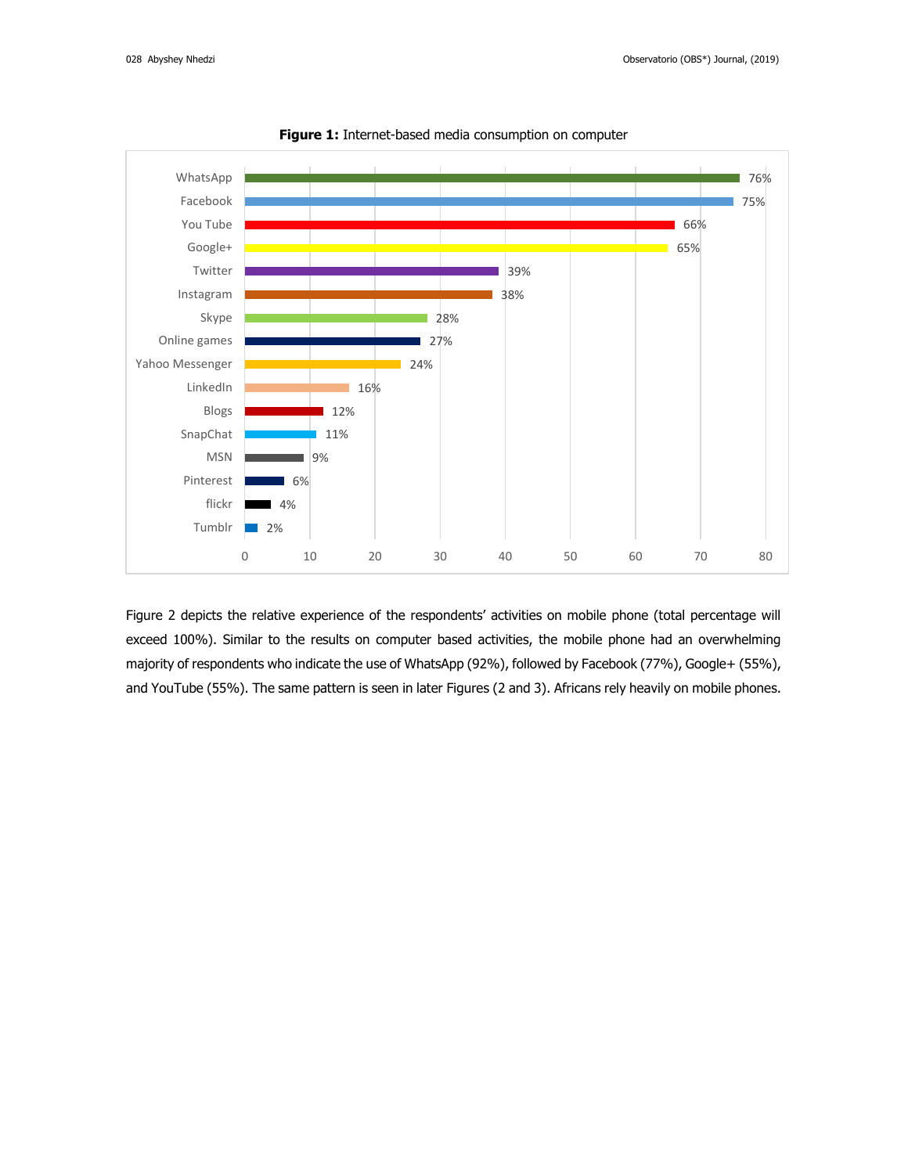

**Figure 1:** Internet-based media consumption on computer

Figure 2 depicts the relative experience of the respondents' activities on mobile phone (total percentage will exceed 100%). Similar to the results on computer based activities, the mobile phone had an overwhelming majority of respondents who indicate the use of WhatsApp (92%), followed by Facebook (77%), Google+ (55%), and YouTube (55%). The same pattern is seen in later Figures (2 and 3). Africans rely heavily on mobile phones.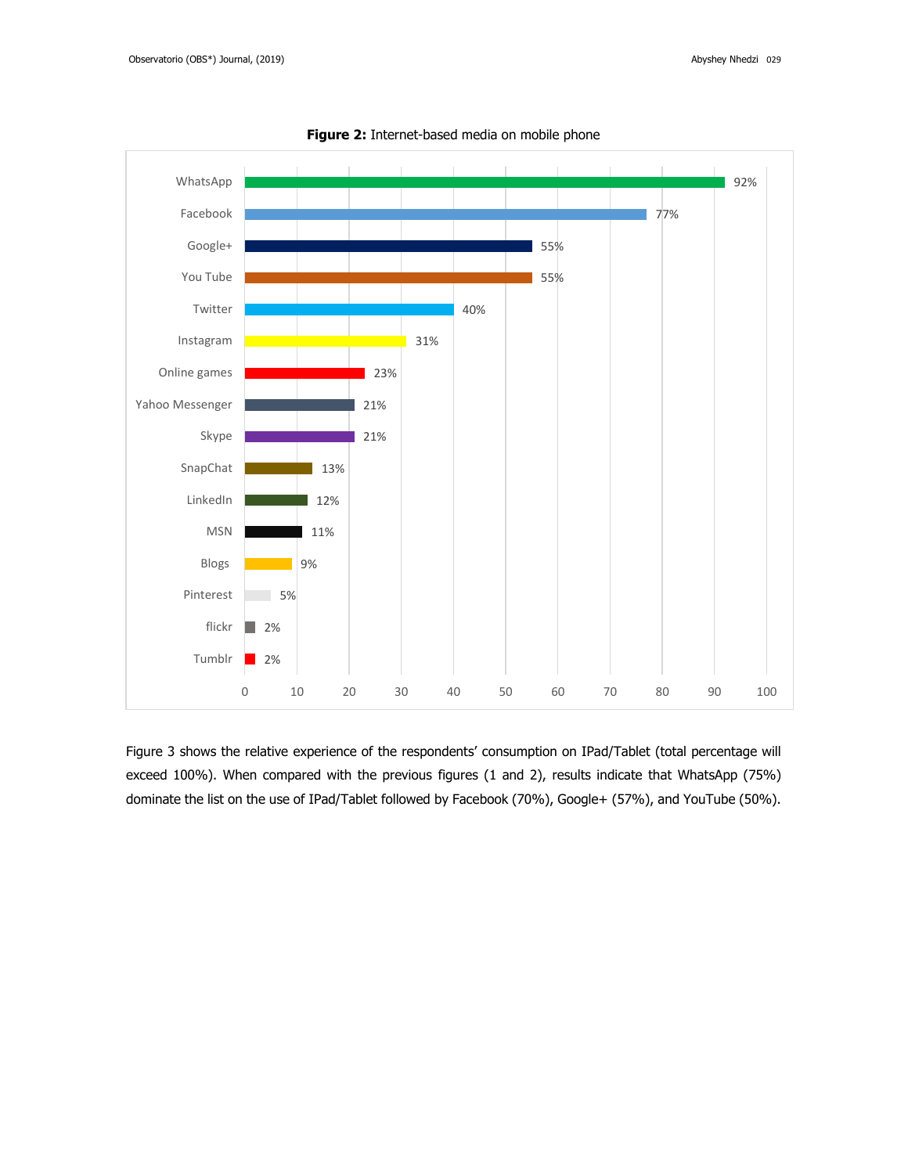

**Figure 2:** Internet-based media on mobile phone

Figure 3 shows the relative experience of the respondents' consumption on IPad/Tablet (total percentage will exceed 100%). When compared with the previous figures (1 and 2), results indicate that WhatsApp (75%) dominate the list on the use of IPad/Tablet followed by Facebook (70%), Google+ (57%), and YouTube (50%).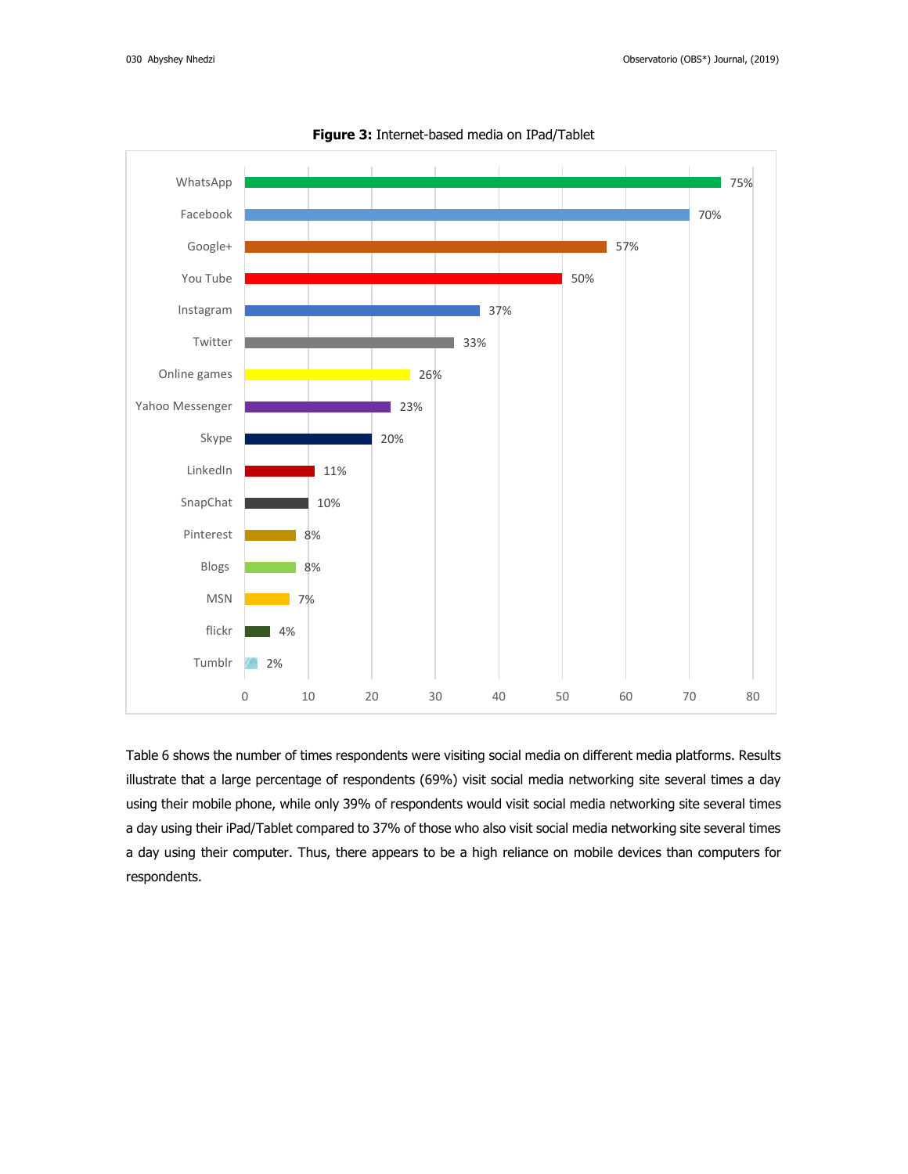

**Figure 3:** Internet-based media on IPad/Tablet

Table 6 shows the number of times respondents were visiting social media on different media platforms. Results illustrate that a large percentage of respondents (69%) visit social media networking site several times a day using their mobile phone, while only 39% of respondents would visit social media networking site several times a day using their iPad/Tablet compared to 37% of those who also visit social media networking site several times a day using their computer. Thus, there appears to be a high reliance on mobile devices than computers for respondents.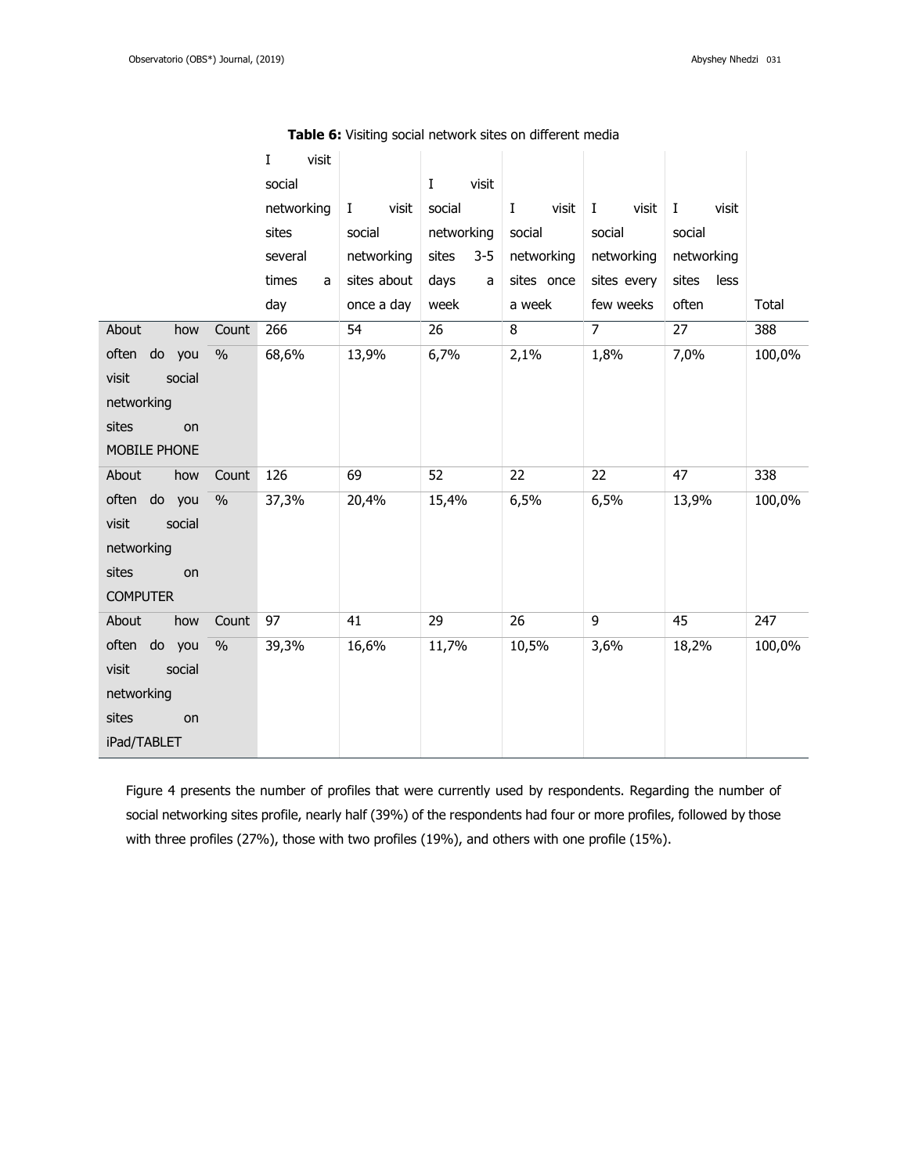|                               | visit<br>I |                   |                   |                 |                       |                   |        |
|-------------------------------|------------|-------------------|-------------------|-----------------|-----------------------|-------------------|--------|
|                               | social     |                   | visit<br>$\bf{I}$ |                 |                       |                   |        |
|                               | networking | visit<br>$\bf{I}$ | social            | Ι<br>visit      | $\mathbf{I}$<br>visit | $\bf{I}$<br>visit |        |
|                               | sites      | social            | networking        | social          | social                | social            |        |
|                               | several    | networking        | sites<br>$3 - 5$  | networking      | networking            | networking        |        |
|                               | times<br>a | sites about       | days<br>a         | sites once      | sites every           | sites<br>less     |        |
|                               | day        | once a day        | week              | a week          | few weeks             | often             | Total  |
| About<br>how<br>Count         | 266        | 54                | 26                | 8               | $\overline{7}$        | 27                | 388    |
| often do you<br>$\frac{0}{0}$ | 68,6%      | 13,9%             | 6,7%              | 2,1%            | 1,8%                  | 7,0%              | 100,0% |
| visit<br>social               |            |                   |                   |                 |                       |                   |        |
| networking                    |            |                   |                   |                 |                       |                   |        |
| sites<br>on                   |            |                   |                   |                 |                       |                   |        |
| MOBILE PHONE                  |            |                   |                   |                 |                       |                   |        |
| About<br>how<br>Count         | 126        | 69                | 52                | 22              | 22                    | 47                | 338    |
| often do you<br>$\frac{0}{0}$ | 37,3%      | 20,4%             | 15,4%             | 6,5%            | 6,5%                  | 13,9%             | 100,0% |
| visit<br>social               |            |                   |                   |                 |                       |                   |        |
| networking                    |            |                   |                   |                 |                       |                   |        |
| sites<br>on                   |            |                   |                   |                 |                       |                   |        |
| <b>COMPUTER</b>               |            |                   |                   |                 |                       |                   |        |
| About<br>how<br>Count         | 97         | 41                | 29                | $\overline{26}$ | 9                     | 45                | 247    |
| often do you<br>$\frac{0}{0}$ | 39,3%      | 16,6%             | 11,7%             | 10,5%           | 3,6%                  | 18,2%             | 100,0% |
| visit<br>social               |            |                   |                   |                 |                       |                   |        |
| networking                    |            |                   |                   |                 |                       |                   |        |
| sites<br>on                   |            |                   |                   |                 |                       |                   |        |
| iPad/TABLET                   |            |                   |                   |                 |                       |                   |        |

**Table 6:** Visiting social network sites on different media

Figure 4 presents the number of profiles that were currently used by respondents. Regarding the number of social networking sites profile, nearly half (39%) of the respondents had four or more profiles, followed by those with three profiles (27%), those with two profiles (19%), and others with one profile (15%).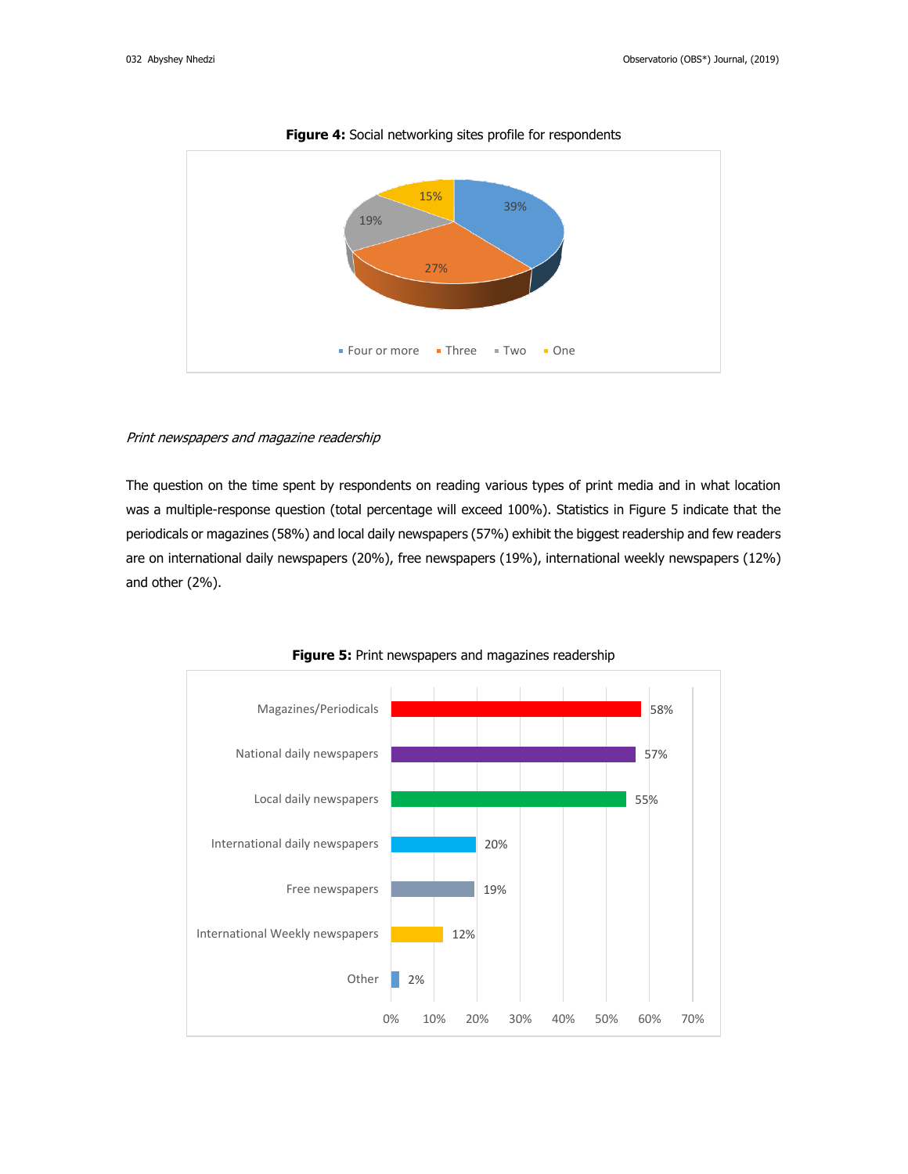

**Figure 4:** Social networking sites profile for respondents

#### Print newspapers and magazine readership

The question on the time spent by respondents on reading various types of print media and in what location was a multiple-response question (total percentage will exceed 100%). Statistics in Figure 5 indicate that the periodicals or magazines (58%) and local daily newspapers (57%) exhibit the biggest readership and few readers are on international daily newspapers (20%), free newspapers (19%), international weekly newspapers (12%) and other (2%).



**Figure 5:** Print newspapers and magazines readership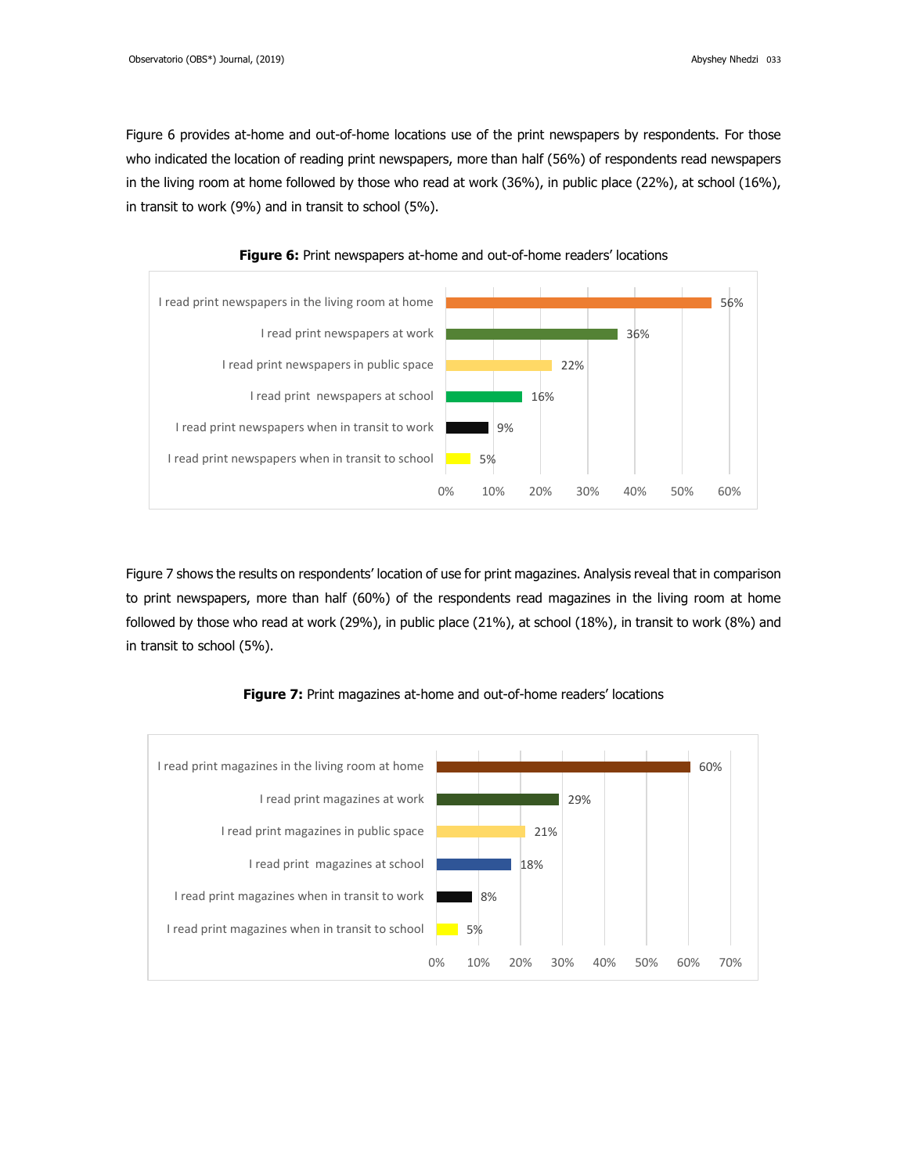Figure 6 provides at-home and out-of-home locations use of the print newspapers by respondents. For those who indicated the location of reading print newspapers, more than half (56%) of respondents read newspapers in the living room at home followed by those who read at work (36%), in public place (22%), at school (16%), in transit to work (9%) and in transit to school (5%).





Figure 7 shows the results on respondents' location of use for print magazines. Analysis reveal that in comparison to print newspapers, more than half (60%) of the respondents read magazines in the living room at home followed by those who read at work (29%), in public place (21%), at school (18%), in transit to work (8%) and in transit to school (5%).



**Figure 7:** Print magazines at-home and out-of-home readers' locations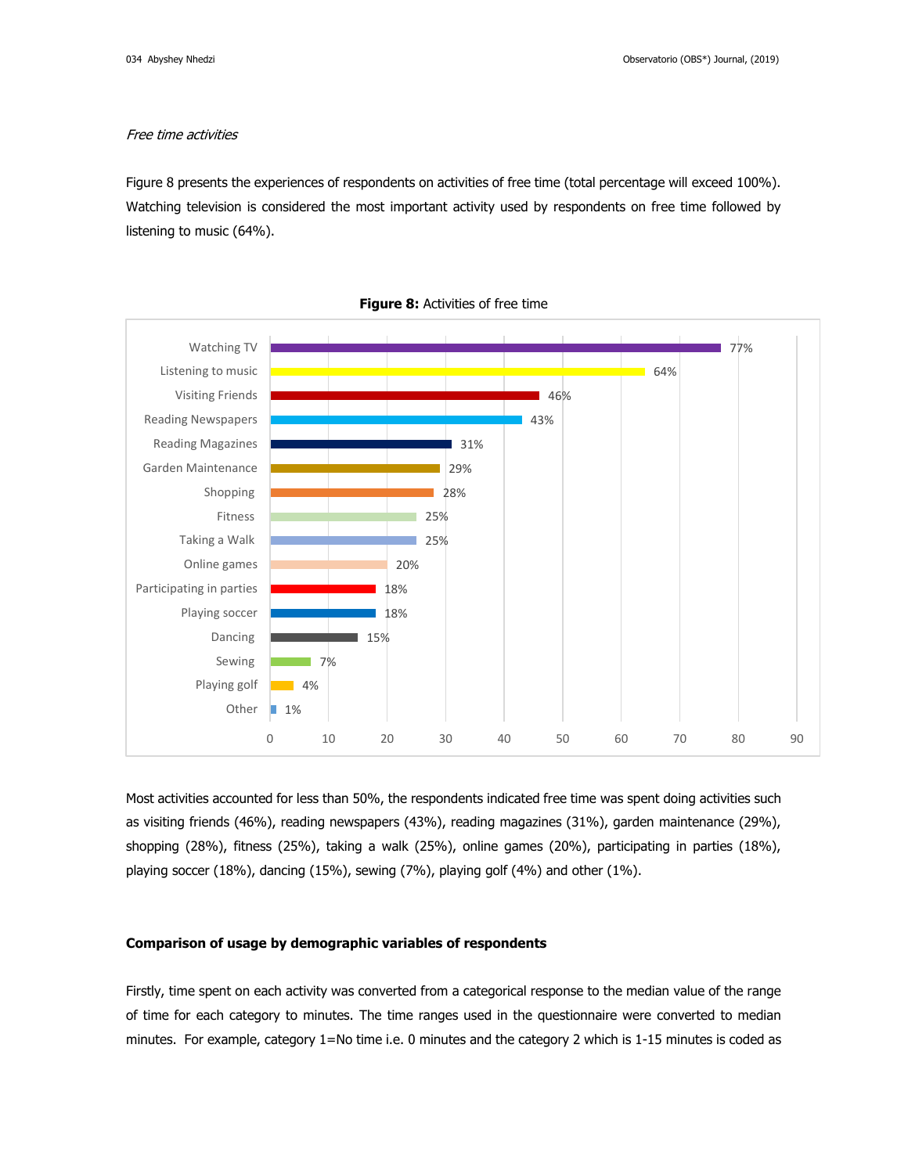## Free time activities

Figure 8 presents the experiences of respondents on activities of free time (total percentage will exceed 100%). Watching television is considered the most important activity used by respondents on free time followed by listening to music (64%).



**Figure 8:** Activities of free time

Most activities accounted for less than 50%, the respondents indicated free time was spent doing activities such as visiting friends (46%), reading newspapers (43%), reading magazines (31%), garden maintenance (29%), shopping (28%), fitness (25%), taking a walk (25%), online games (20%), participating in parties (18%), playing soccer (18%), dancing (15%), sewing (7%), playing golf (4%) and other (1%).

### **Comparison of usage by demographic variables of respondents**

Firstly, time spent on each activity was converted from a categorical response to the median value of the range of time for each category to minutes. The time ranges used in the questionnaire were converted to median minutes. For example, category 1=No time i.e. 0 minutes and the category 2 which is 1-15 minutes is coded as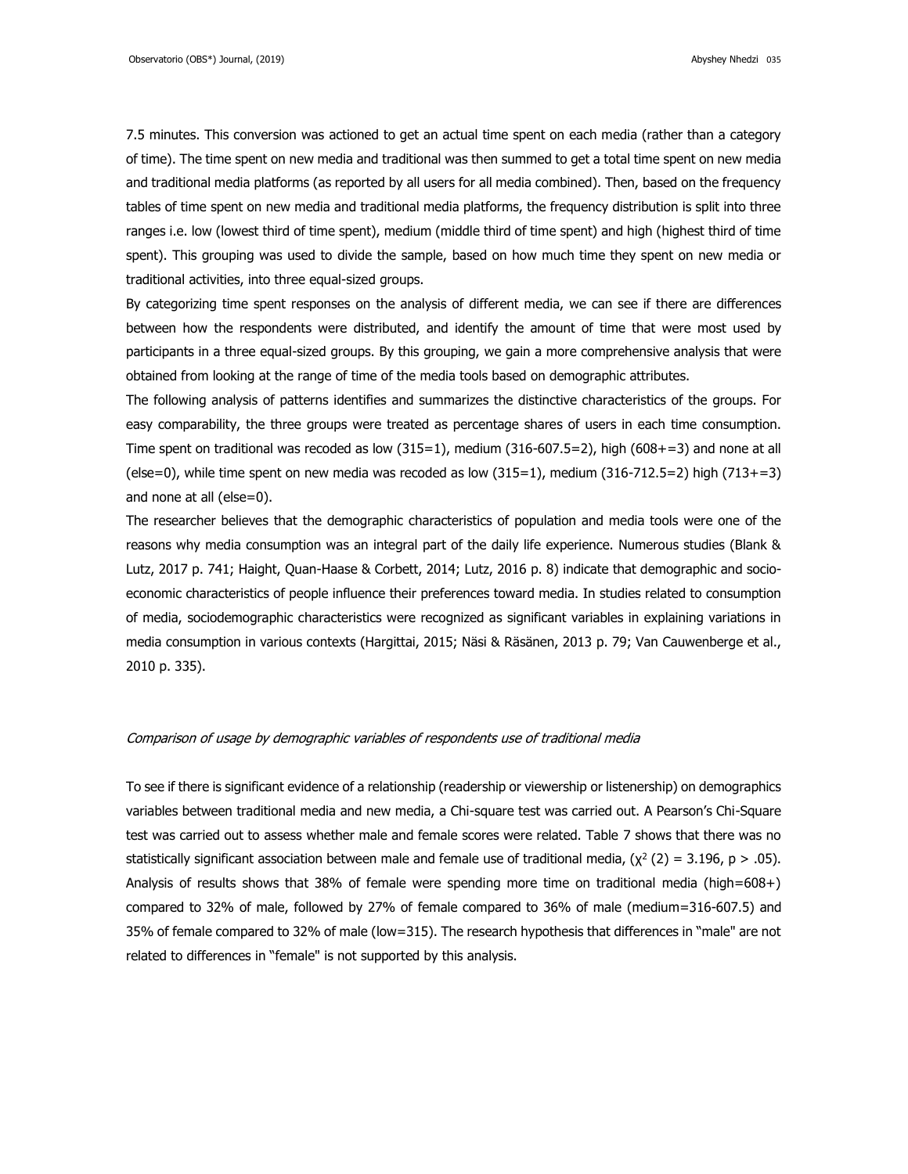7.5 minutes. This conversion was actioned to get an actual time spent on each media (rather than a category of time). The time spent on new media and traditional was then summed to get a total time spent on new media and traditional media platforms (as reported by all users for all media combined). Then, based on the frequency tables of time spent on new media and traditional media platforms, the frequency distribution is split into three ranges i.e. low (lowest third of time spent), medium (middle third of time spent) and high (highest third of time spent). This grouping was used to divide the sample, based on how much time they spent on new media or traditional activities, into three equal-sized groups.

By categorizing time spent responses on the analysis of different media, we can see if there are differences between how the respondents were distributed, and identify the amount of time that were most used by participants in a three equal-sized groups. By this grouping, we gain a more comprehensive analysis that were obtained from looking at the range of time of the media tools based on demographic attributes.

The following analysis of patterns identifies and summarizes the distinctive characteristics of the groups. For easy comparability, the three groups were treated as percentage shares of users in each time consumption. Time spent on traditional was recoded as low (315=1), medium (316-607.5=2), high (608+=3) and none at all (else=0), while time spent on new media was recoded as low (315=1), medium (316-712.5=2) high (713+=3) and none at all (else=0).

The researcher believes that the demographic characteristics of population and media tools were one of the reasons why media consumption was an integral part of the daily life experience. Numerous studies (Blank & Lutz, 2017 p. 741; Haight, Quan-Haase & Corbett, 2014; Lutz, 2016 p. 8) indicate that demographic and socioeconomic characteristics of people influence their preferences toward media. In studies related to consumption of media, sociodemographic characteristics were recognized as significant variables in explaining variations in media consumption in various contexts (Hargittai, 2015; Näsi & Räsänen, 2013 p. 79; Van Cauwenberge et al., 2010 p. 335).

#### Comparison of usage by demographic variables of respondents use of traditional media

To see if there is significant evidence of a relationship (readership or viewership or listenership) on demographics variables between traditional media and new media, a Chi-square test was carried out. A Pearson's Chi-Square test was carried out to assess whether male and female scores were related. Table 7 shows that there was no statistically significant association between male and female use of traditional media,  $(\chi^2(2) = 3.196, p > .05)$ . Analysis of results shows that 38% of female were spending more time on traditional media (high=608+) compared to 32% of male, followed by 27% of female compared to 36% of male (medium=316-607.5) and 35% of female compared to 32% of male (low=315). The research hypothesis that differences in "male" are not related to differences in "female" is not supported by this analysis.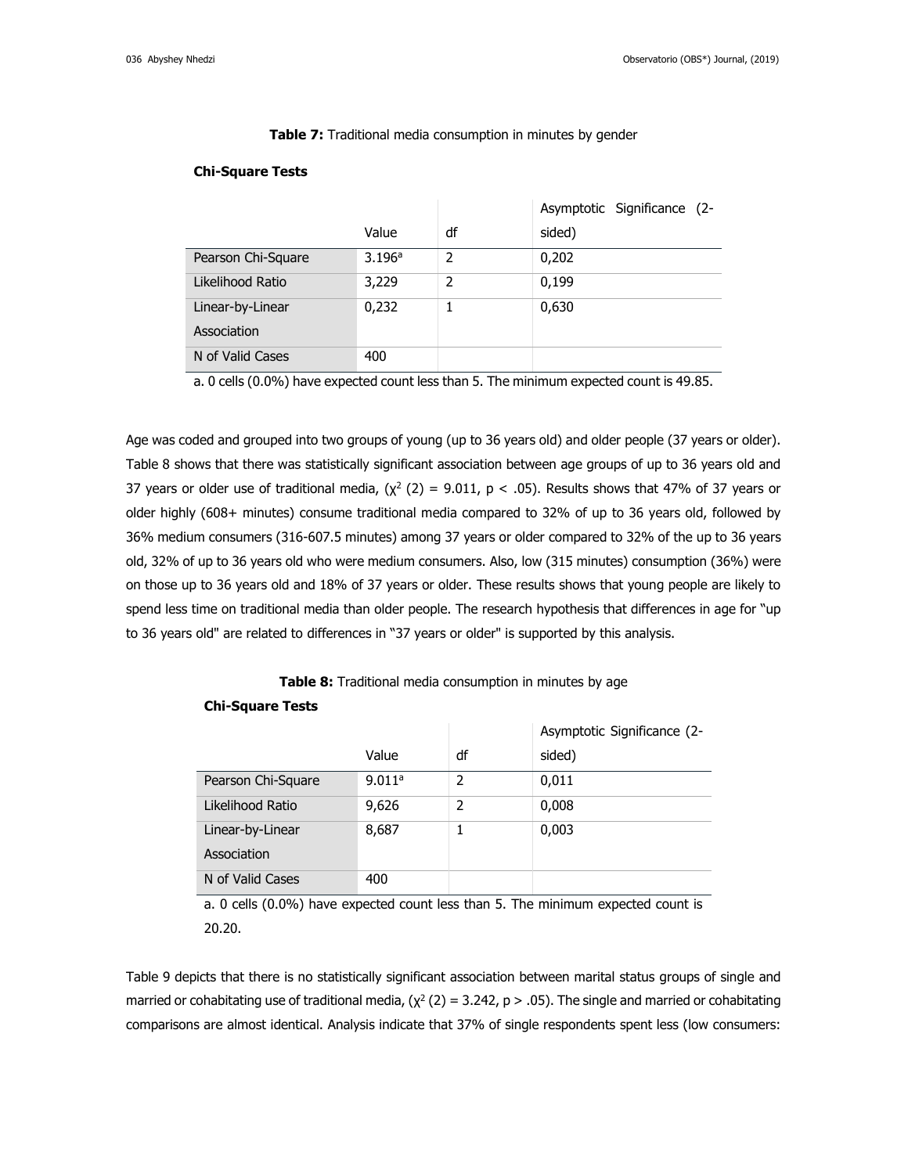**Table 7:** Traditional media consumption in minutes by gender

## **Chi-Square Tests**

|                    |        |                | Asymptotic Significance (2- |
|--------------------|--------|----------------|-----------------------------|
|                    | Value  | df             | sided)                      |
| Pearson Chi-Square | 3.196a | $\overline{2}$ | 0,202                       |
| Likelihood Ratio   | 3,229  | 2              | 0,199                       |
| Linear-by-Linear   | 0,232  |                | 0,630                       |
| Association        |        |                |                             |
| N of Valid Cases   | 400    |                |                             |

a. 0 cells (0.0%) have expected count less than 5. The minimum expected count is 49.85.

Age was coded and grouped into two groups of young (up to 36 years old) and older people (37 years or older). Table 8 shows that there was statistically significant association between age groups of up to 36 years old and 37 years or older use of traditional media,  $(x^2 (2) = 9.011, p < .05)$ . Results shows that 47% of 37 years or older highly (608+ minutes) consume traditional media compared to 32% of up to 36 years old, followed by 36% medium consumers (316-607.5 minutes) among 37 years or older compared to 32% of the up to 36 years old, 32% of up to 36 years old who were medium consumers. Also, low (315 minutes) consumption (36%) were on those up to 36 years old and 18% of 37 years or older. These results shows that young people are likely to spend less time on traditional media than older people. The research hypothesis that differences in age for "up to 36 years old" are related to differences in "37 years or older" is supported by this analysis.

# **Table 8:** Traditional media consumption in minutes by age

### **Chi-Square Tests**

|                    |        |                | Asymptotic Significance (2- |
|--------------------|--------|----------------|-----------------------------|
|                    | Value  | df             | sided)                      |
| Pearson Chi-Square | 9.011a | $\overline{2}$ | 0,011                       |
| Likelihood Ratio   | 9,626  | 2              | 0,008                       |
| Linear-by-Linear   | 8,687  | 1              | 0,003                       |
| Association        |        |                |                             |
| N of Valid Cases   | 400    |                |                             |

a. 0 cells (0.0%) have expected count less than 5. The minimum expected count is 20.20.

Table 9 depicts that there is no statistically significant association between marital status groups of single and married or cohabitating use of traditional media,  $(\chi^2(2) = 3.242, p > .05)$ . The single and married or cohabitating comparisons are almost identical. Analysis indicate that 37% of single respondents spent less (low consumers: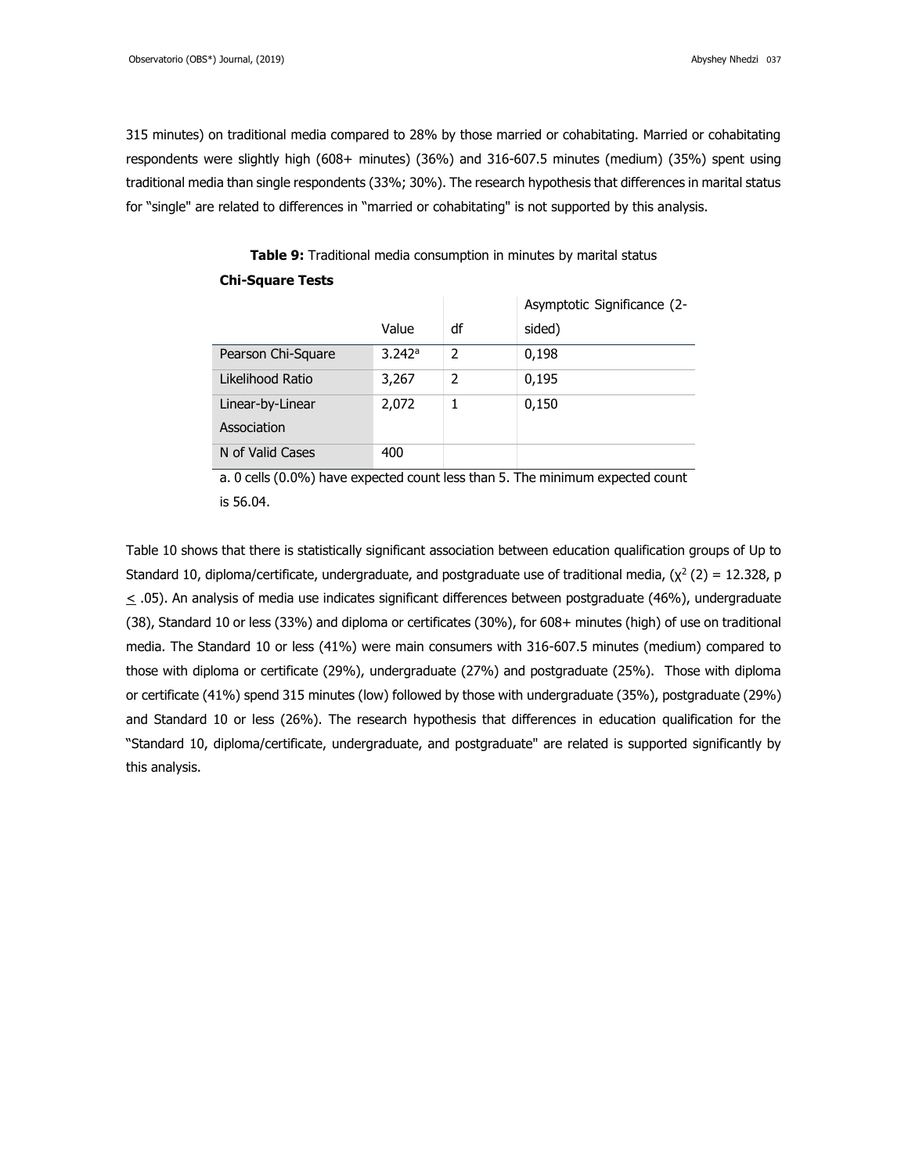315 minutes) on traditional media compared to 28% by those married or cohabitating. Married or cohabitating respondents were slightly high (608+ minutes) (36%) and 316-607.5 minutes (medium) (35%) spent using traditional media than single respondents (33%; 30%). The research hypothesis that differences in marital status for "single" are related to differences in "married or cohabitating" is not supported by this analysis.

|                    |        |                          | Asymptotic Significance (2- |
|--------------------|--------|--------------------------|-----------------------------|
|                    | Value  | df                       | sided)                      |
| Pearson Chi-Square | 3.242a | $\overline{\phantom{a}}$ | 0,198                       |
| Likelihood Ratio   | 3,267  | 2                        | 0,195                       |
| Linear-by-Linear   | 2,072  |                          | 0,150                       |
| Association        |        |                          |                             |
| N of Valid Cases   | 400    |                          |                             |

**Table 9:** Traditional media consumption in minutes by marital status **Chi-Square Tests**

a. 0 cells (0.0%) have expected count less than 5. The minimum expected count is 56.04.

Table 10 shows that there is statistically significant association between education qualification groups of Up to Standard 10, diploma/certificate, undergraduate, and postgraduate use of traditional media,  $(\chi^2(2) = 12.328$ , p  $\leq$  .05). An analysis of media use indicates significant differences between postgraduate (46%), undergraduate (38), Standard 10 or less (33%) and diploma or certificates (30%), for 608+ minutes (high) of use on traditional media. The Standard 10 or less (41%) were main consumers with 316-607.5 minutes (medium) compared to those with diploma or certificate (29%), undergraduate (27%) and postgraduate (25%). Those with diploma or certificate (41%) spend 315 minutes (low) followed by those with undergraduate (35%), postgraduate (29%) and Standard 10 or less (26%). The research hypothesis that differences in education qualification for the "Standard 10, diploma/certificate, undergraduate, and postgraduate" are related is supported significantly by this analysis.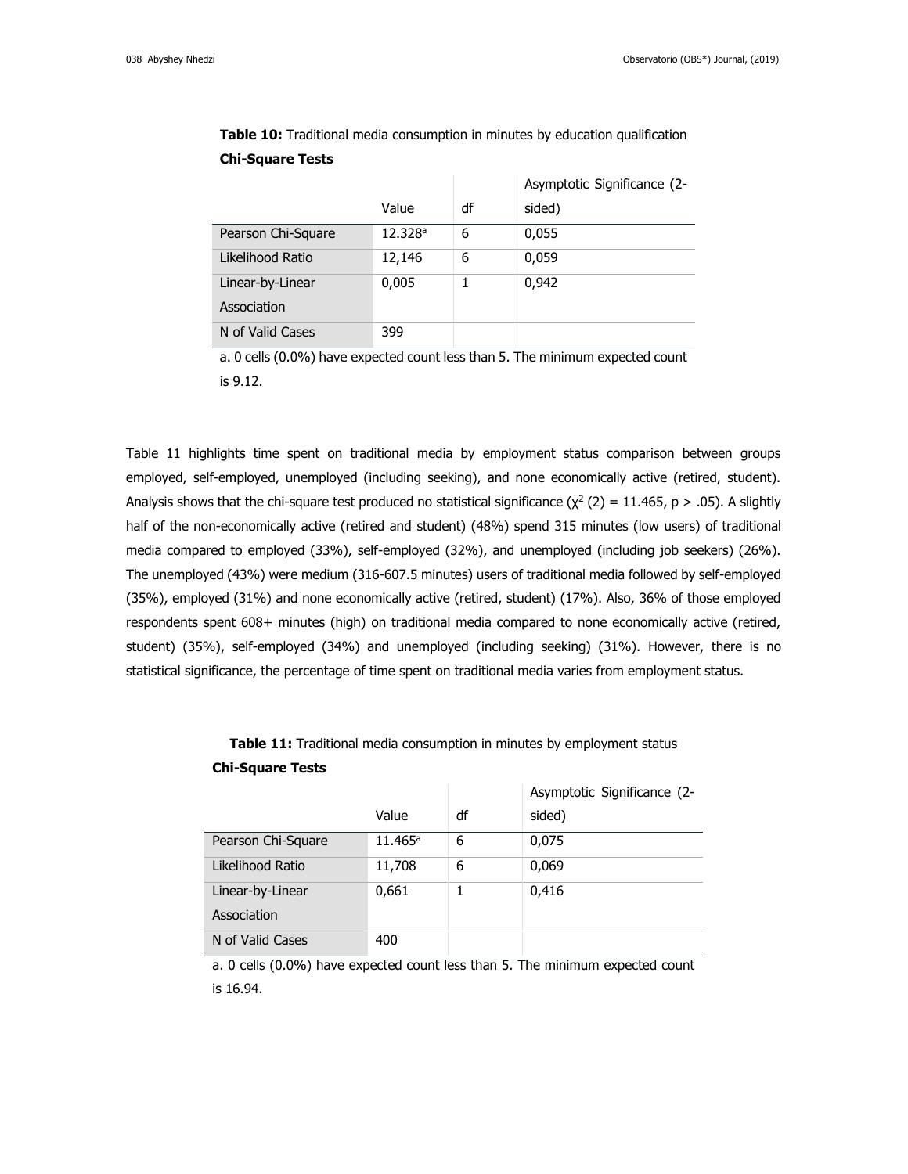**Chi-Square Tests**

|                    |         |    | Asymptotic Significance (2- |
|--------------------|---------|----|-----------------------------|
|                    | Value   | df | sided)                      |
| Pearson Chi-Square | 12.328a | 6  | 0,055                       |
| Likelihood Ratio   | 12,146  | 6  | 0,059                       |
| Linear-by-Linear   | 0,005   |    | 0,942                       |
| Association        |         |    |                             |
| N of Valid Cases   | 399     |    |                             |

**Table 10:** Traditional media consumption in minutes by education qualification

a. 0 cells (0.0%) have expected count less than 5. The minimum expected count is 9.12.

Table 11 highlights time spent on traditional media by employment status comparison between groups employed, self-employed, unemployed (including seeking), and none economically active (retired, student). Analysis shows that the chi-square test produced no statistical significance  $(\chi^2(2) = 11.465, p > .05)$ . A slightly half of the non-economically active (retired and student) (48%) spend 315 minutes (low users) of traditional media compared to employed (33%), self-employed (32%), and unemployed (including job seekers) (26%). The unemployed (43%) were medium (316-607.5 minutes) users of traditional media followed by self-employed (35%), employed (31%) and none economically active (retired, student) (17%). Also, 36% of those employed respondents spent 608+ minutes (high) on traditional media compared to none economically active (retired, student) (35%), self-employed (34%) and unemployed (including seeking) (31%). However, there is no statistical significance, the percentage of time spent on traditional media varies from employment status.

|                    |            |    | Asymptotic Significance (2- |
|--------------------|------------|----|-----------------------------|
|                    | Value      | df | sided)                      |
| Pearson Chi-Square | $11.465^a$ | 6  | 0,075                       |
| Likelihood Ratio   | 11,708     | 6  | 0,069                       |
| Linear-by-Linear   | 0,661      |    | 0,416                       |
| Association        |            |    |                             |
| N of Valid Cases   | 400        |    |                             |

**Table 11:** Traditional media consumption in minutes by employment status **Chi-Square Tests**

a. 0 cells (0.0%) have expected count less than 5. The minimum expected count is 16.94.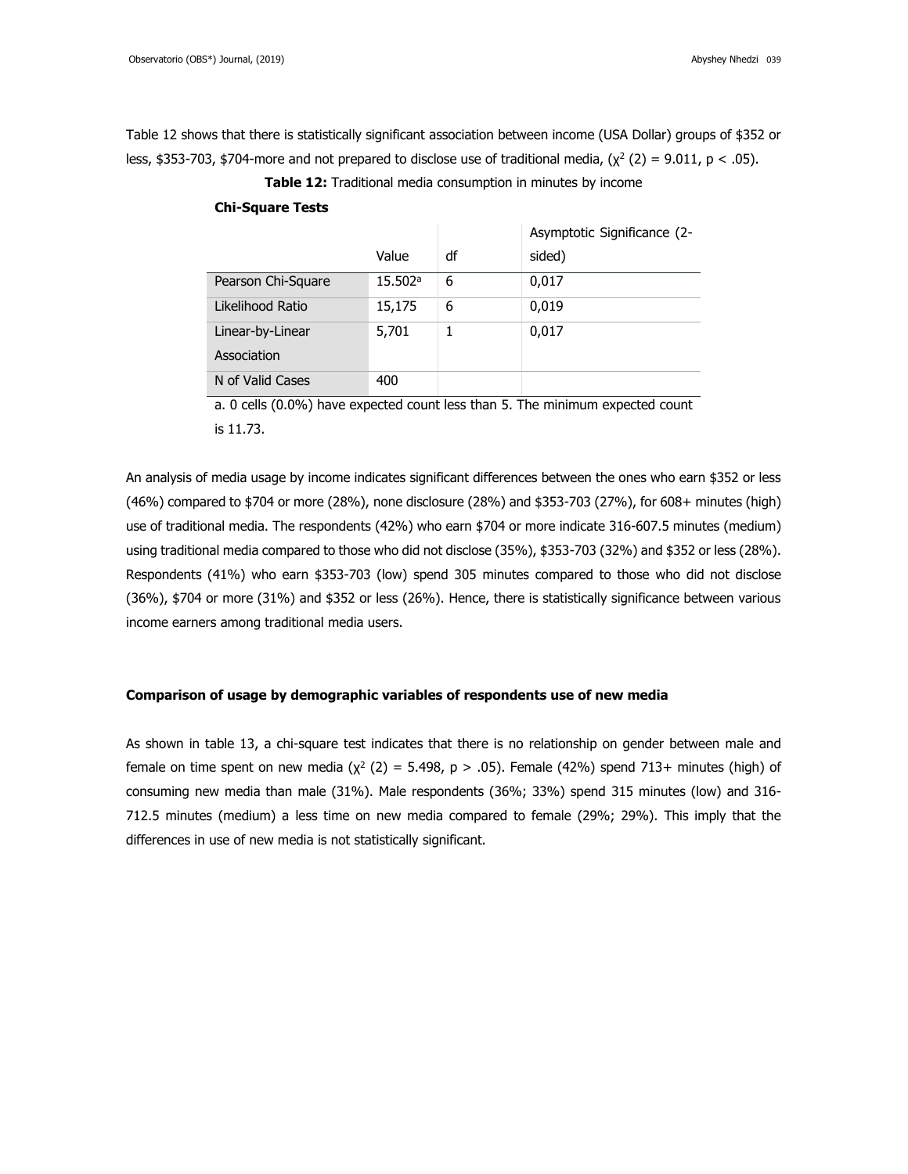Table 12 shows that there is statistically significant association between income (USA Dollar) groups of \$352 or less, \$353-703, \$704-more and not prepared to disclose use of traditional media, ( $\chi^2$  (2) = 9.011, p < .05).

**Table 12:** Traditional media consumption in minutes by income

## **Chi-Square Tests**

|                    |         |    | Asymptotic Significance (2- |
|--------------------|---------|----|-----------------------------|
|                    | Value   | df | sided)                      |
| Pearson Chi-Square | 15.502a | 6  | 0,017                       |
| Likelihood Ratio   | 15,175  | 6  | 0,019                       |
| Linear-by-Linear   | 5,701   |    | 0,017                       |
| Association        |         |    |                             |
| N of Valid Cases   | 400     |    |                             |

a. 0 cells (0.0%) have expected count less than 5. The minimum expected count is 11.73.

An analysis of media usage by income indicates significant differences between the ones who earn \$352 or less (46%) compared to \$704 or more (28%), none disclosure (28%) and \$353-703 (27%), for 608+ minutes (high) use of traditional media. The respondents (42%) who earn \$704 or more indicate 316-607.5 minutes (medium) using traditional media compared to those who did not disclose (35%), \$353-703 (32%) and \$352 or less (28%). Respondents (41%) who earn \$353-703 (low) spend 305 minutes compared to those who did not disclose (36%), \$704 or more (31%) and \$352 or less (26%). Hence, there is statistically significance between various income earners among traditional media users.

## **Comparison of usage by demographic variables of respondents use of new media**

As shown in table 13, a chi-square test indicates that there is no relationship on gender between male and female on time spent on new media  $(\chi^2(2) = 5.498, p > .05)$ . Female (42%) spend 713+ minutes (high) of consuming new media than male (31%). Male respondents (36%; 33%) spend 315 minutes (low) and 316- 712.5 minutes (medium) a less time on new media compared to female (29%; 29%). This imply that the differences in use of new media is not statistically significant.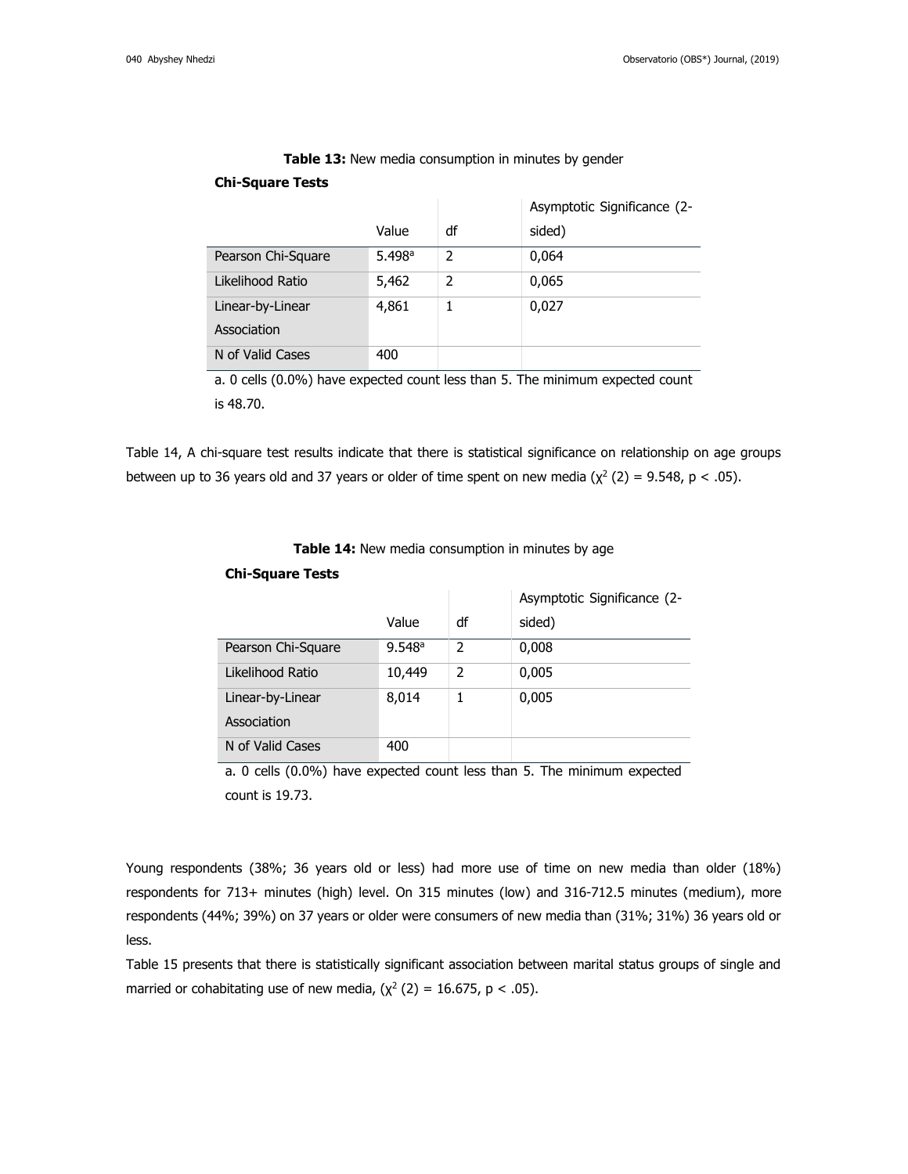|                    |        |    | Asymptotic Significance (2- |
|--------------------|--------|----|-----------------------------|
|                    | Value  | df | sided)                      |
| Pearson Chi-Square | 5.498a | 2  | 0,064                       |
| Likelihood Ratio   | 5,462  | 2  | 0,065                       |
| Linear-by-Linear   | 4,861  | 1  | 0,027                       |
| Association        |        |    |                             |
| N of Valid Cases   | 400    |    |                             |

**Table 13:** New media consumption in minutes by gender

## **Chi-Square Tests**

a. 0 cells (0.0%) have expected count less than 5. The minimum expected count is 48.70.

Table 14, A chi-square test results indicate that there is statistical significance on relationship on age groups between up to 36 years old and 37 years or older of time spent on new media  $(\chi^2(2) = 9.548, p < .05)$ .

## **Table 14:** New media consumption in minutes by age

|                    |        |               | Asymptotic Significance (2- |
|--------------------|--------|---------------|-----------------------------|
|                    | Value  | df            | sided)                      |
| Pearson Chi-Square | 9.548a | 2             | 0,008                       |
| Likelihood Ratio   | 10,449 | $\mathcal{P}$ | 0,005                       |
| Linear-by-Linear   | 8,014  |               | 0,005                       |
| Association        |        |               |                             |
| N of Valid Cases   | 400    |               |                             |

### **Chi-Square Tests**

a. 0 cells (0.0%) have expected count less than 5. The minimum expected count is 19.73.

Young respondents (38%; 36 years old or less) had more use of time on new media than older (18%) respondents for 713+ minutes (high) level. On 315 minutes (low) and 316-712.5 minutes (medium), more respondents (44%; 39%) on 37 years or older were consumers of new media than (31%; 31%) 36 years old or less.

Table 15 presents that there is statistically significant association between marital status groups of single and married or cohabitating use of new media,  $(\chi^2 (2) = 16.675, p < .05)$ .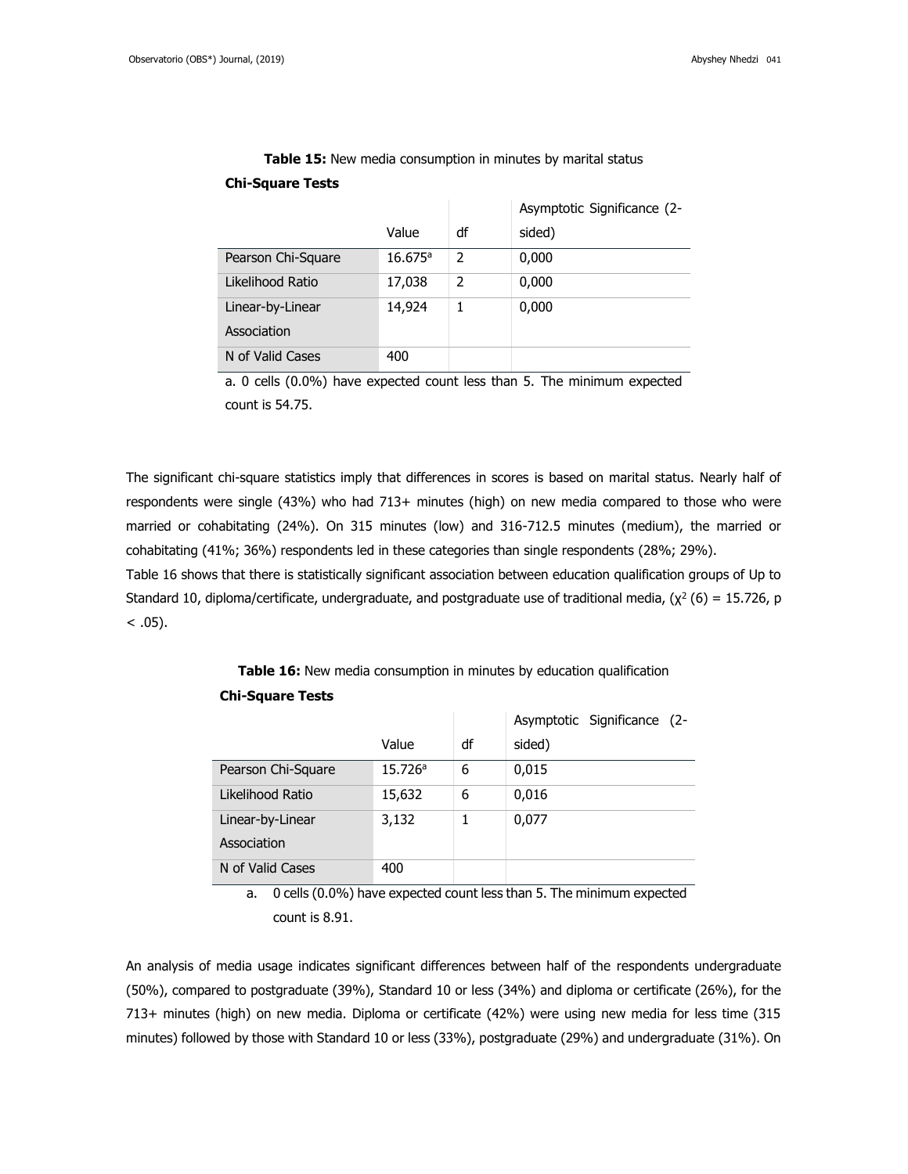|                    |                  |    | Asymptotic Significance (2- |
|--------------------|------------------|----|-----------------------------|
|                    | Value            | df | sided)                      |
| Pearson Chi-Square | $16.675^{\circ}$ | 2  | 0,000                       |
| Likelihood Ratio   | 17,038           | 2  | 0,000                       |
| Linear-by-Linear   | 14,924           |    | 0,000                       |
| Association        |                  |    |                             |
| N of Valid Cases   | 400              |    |                             |

**Table 15:** New media consumption in minutes by marital status

## **Chi-Square Tests**

a. 0 cells (0.0%) have expected count less than 5. The minimum expected count is 54.75.

The significant chi-square statistics imply that differences in scores is based on marital status. Nearly half of respondents were single (43%) who had 713+ minutes (high) on new media compared to those who were married or cohabitating (24%). On 315 minutes (low) and 316-712.5 minutes (medium), the married or cohabitating (41%; 36%) respondents led in these categories than single respondents (28%; 29%).

Table 16 shows that there is statistically significant association between education qualification groups of Up to Standard 10, diploma/certificate, undergraduate, and postgraduate use of traditional media, ( $\chi^2$  (6) = 15.726, p  $< .05$ ).

|                    |         |    | Asymptotic Significance (2- |
|--------------------|---------|----|-----------------------------|
|                    | Value   | df | sided)                      |
| Pearson Chi-Square | 15.726a | 6  | 0,015                       |
| Likelihood Ratio   | 15,632  | 6  | 0,016                       |
| Linear-by-Linear   | 3,132   |    | 0,077                       |
| Association        |         |    |                             |
| N of Valid Cases   | 400     |    |                             |

**Table 16:** New media consumption in minutes by education qualification **Chi-Square Tests**

a. 0 cells (0.0%) have expected count less than 5. The minimum expected count is 8.91.

An analysis of media usage indicates significant differences between half of the respondents undergraduate (50%), compared to postgraduate (39%), Standard 10 or less (34%) and diploma or certificate (26%), for the 713+ minutes (high) on new media. Diploma or certificate (42%) were using new media for less time (315 minutes) followed by those with Standard 10 or less (33%), postgraduate (29%) and undergraduate (31%). On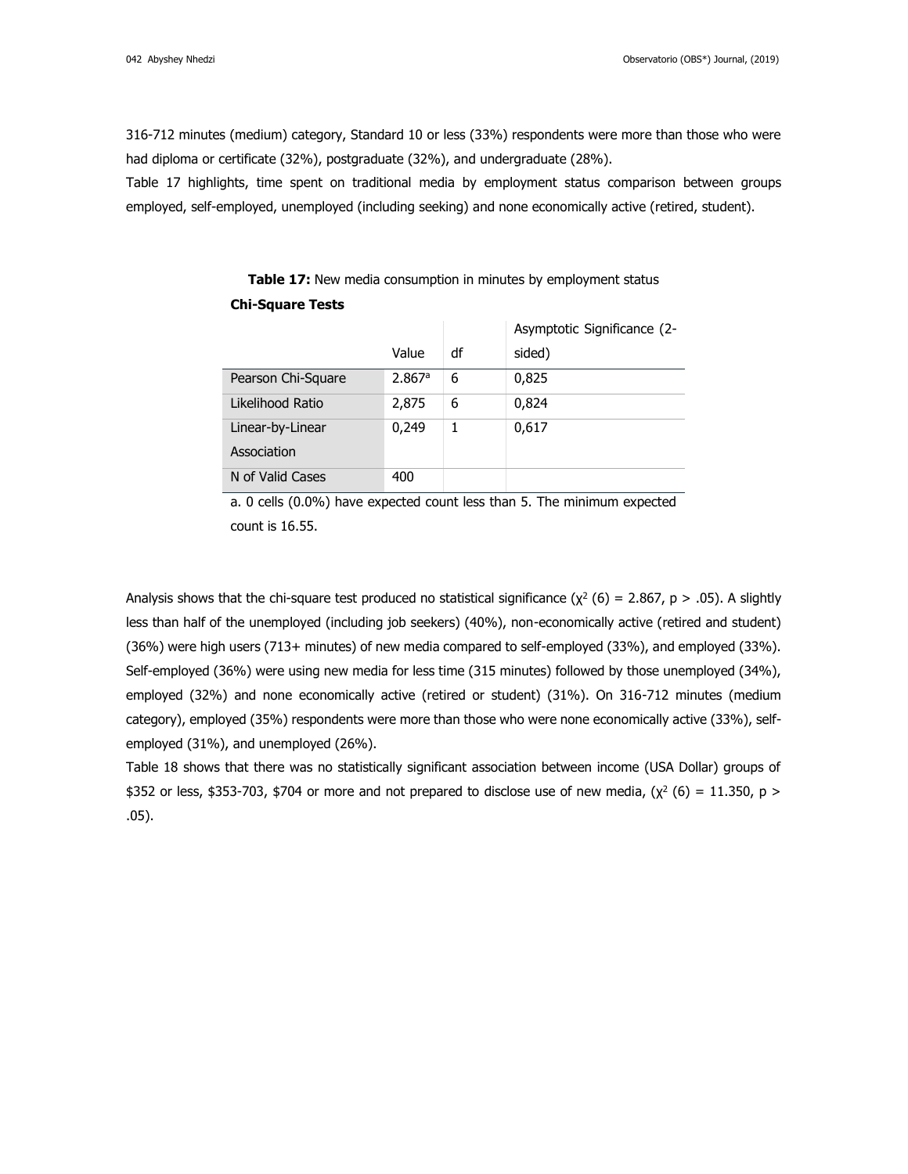316-712 minutes (medium) category, Standard 10 or less (33%) respondents were more than those who were had diploma or certificate (32%), postgraduate (32%), and undergraduate (28%).

Table 17 highlights, time spent on traditional media by employment status comparison between groups employed, self-employed, unemployed (including seeking) and none economically active (retired, student).

|                    |        |    | Asymptotic Significance (2- |
|--------------------|--------|----|-----------------------------|
|                    | Value  | df | sided)                      |
| Pearson Chi-Square | 2.867a | 6  | 0,825                       |
| Likelihood Ratio   | 2,875  | 6  | 0,824                       |
| Linear-by-Linear   | 0,249  | 1  | 0,617                       |
| Association        |        |    |                             |
| N of Valid Cases   | 400    |    |                             |

**Table 17:** New media consumption in minutes by employment status **Chi-Square Tests**

a. 0 cells (0.0%) have expected count less than 5. The minimum expected count is 16.55.

Analysis shows that the chi-square test produced no statistical significance ( $\chi^2$  (6) = 2.867, p > .05). A slightly less than half of the unemployed (including job seekers) (40%), non-economically active (retired and student) (36%) were high users (713+ minutes) of new media compared to self-employed (33%), and employed (33%). Self-employed (36%) were using new media for less time (315 minutes) followed by those unemployed (34%), employed (32%) and none economically active (retired or student) (31%). On 316-712 minutes (medium category), employed (35%) respondents were more than those who were none economically active (33%), selfemployed (31%), and unemployed (26%).

Table 18 shows that there was no statistically significant association between income (USA Dollar) groups of \$352 or less, \$353-703, \$704 or more and not prepared to disclose use of new media, ( $\chi^2$  (6) = 11.350, p > .05).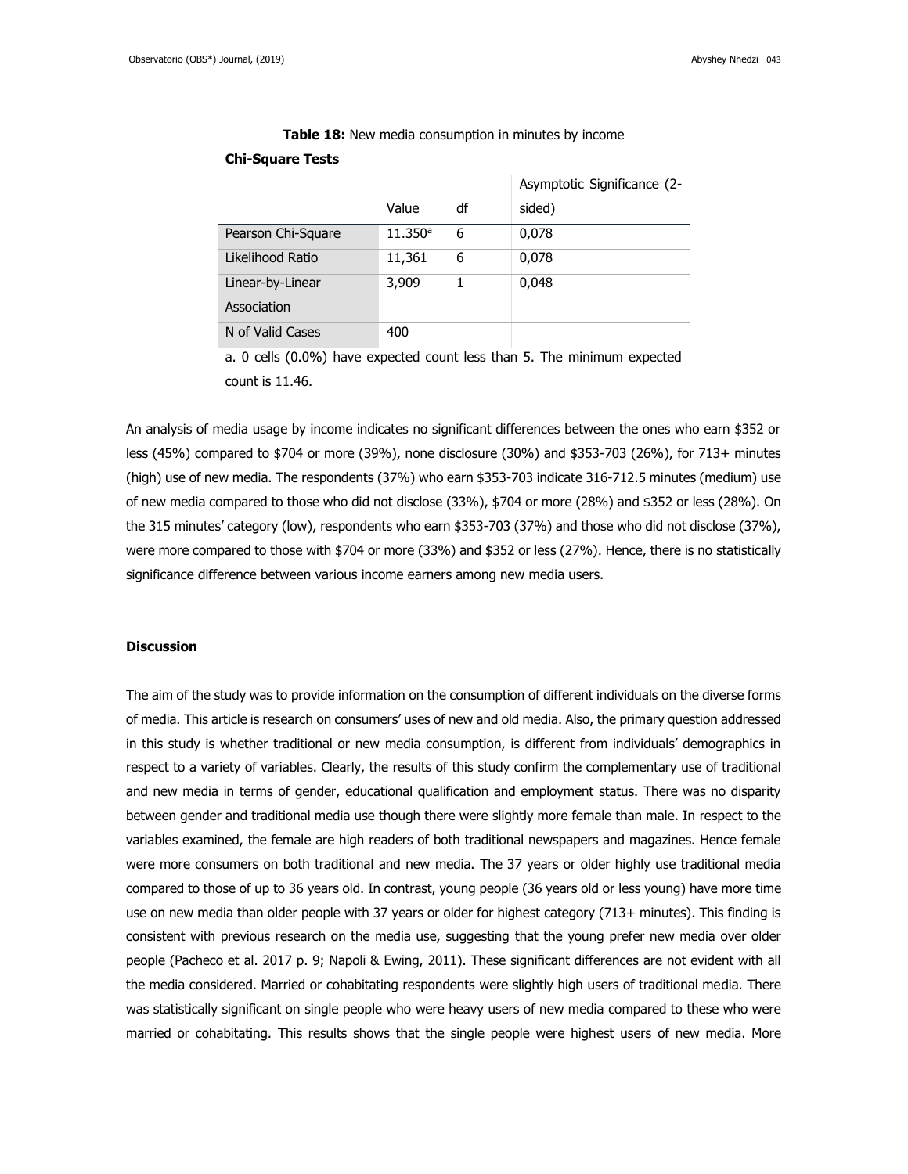|                    |         |    | Asymptotic Significance (2- |
|--------------------|---------|----|-----------------------------|
|                    | Value   | df | sided)                      |
| Pearson Chi-Square | 11.350a | 6  | 0,078                       |
| Likelihood Ratio   | 11,361  | 6  | 0,078                       |
| Linear-by-Linear   | 3,909   |    | 0,048                       |
| Association        |         |    |                             |
| N of Valid Cases   | 400     |    |                             |

**Table 18:** New media consumption in minutes by income

### **Chi-Square Tests**

a. 0 cells (0.0%) have expected count less than 5. The minimum expected count is 11.46.

An analysis of media usage by income indicates no significant differences between the ones who earn \$352 or less (45%) compared to \$704 or more (39%), none disclosure (30%) and \$353-703 (26%), for 713+ minutes (high) use of new media. The respondents (37%) who earn \$353-703 indicate 316-712.5 minutes (medium) use of new media compared to those who did not disclose (33%), \$704 or more (28%) and \$352 or less (28%). On the 315 minutes' category (low), respondents who earn \$353-703 (37%) and those who did not disclose (37%), were more compared to those with \$704 or more (33%) and \$352 or less (27%). Hence, there is no statistically significance difference between various income earners among new media users.

#### **Discussion**

The aim of the study was to provide information on the consumption of different individuals on the diverse forms of media. This article is research on consumers' uses of new and old media. Also, the primary question addressed in this study is whether traditional or new media consumption, is different from individuals' demographics in respect to a variety of variables. Clearly, the results of this study confirm the complementary use of traditional and new media in terms of gender, educational qualification and employment status. There was no disparity between gender and traditional media use though there were slightly more female than male. In respect to the variables examined, the female are high readers of both traditional newspapers and magazines. Hence female were more consumers on both traditional and new media. The 37 years or older highly use traditional media compared to those of up to 36 years old. In contrast, young people (36 years old or less young) have more time use on new media than older people with 37 years or older for highest category (713+ minutes). This finding is consistent with previous research on the media use, suggesting that the young prefer new media over older people (Pacheco et al. 2017 p. 9; Napoli & Ewing, 2011). These significant differences are not evident with all the media considered. Married or cohabitating respondents were slightly high users of traditional media. There was statistically significant on single people who were heavy users of new media compared to these who were married or cohabitating. This results shows that the single people were highest users of new media. More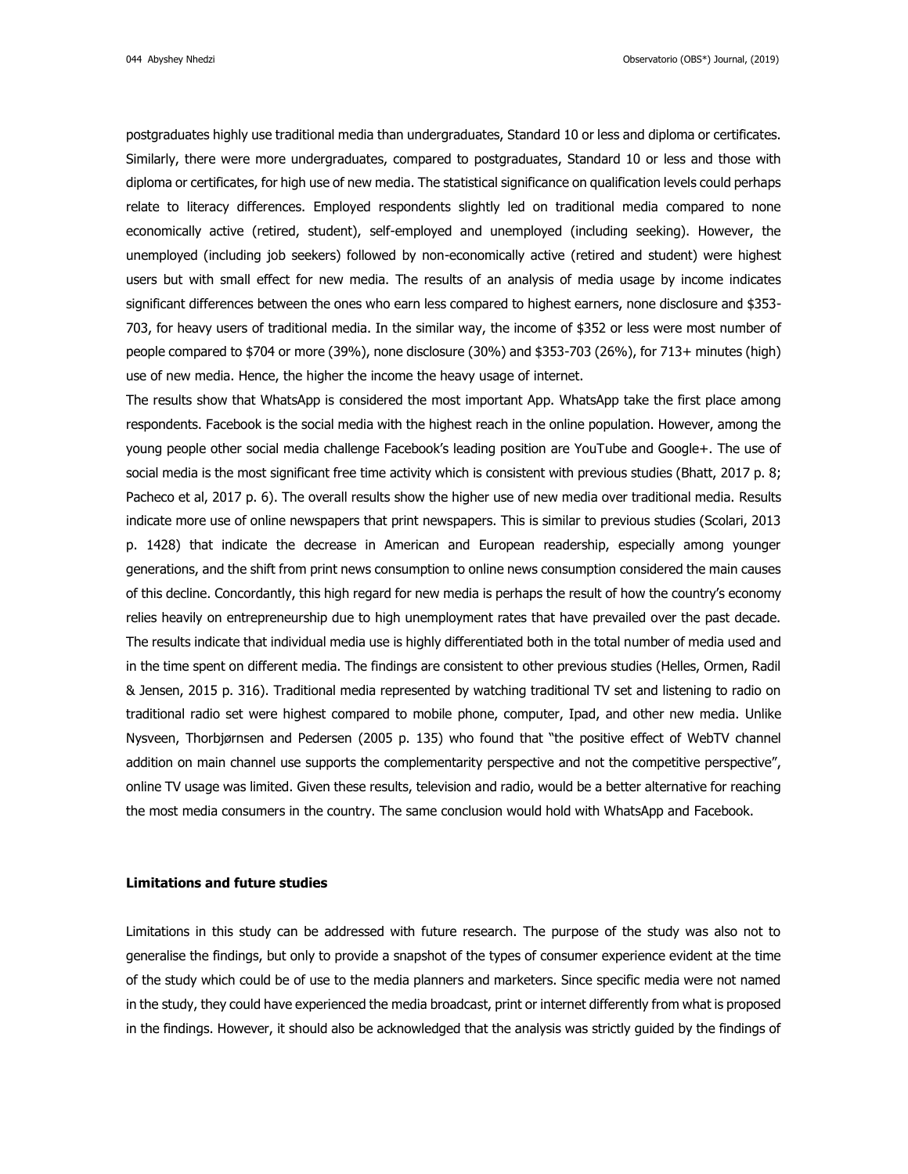044 Abyshey Nhedzi Observatorio (OBS\*) Journal, (2019)

postgraduates highly use traditional media than undergraduates, Standard 10 or less and diploma or certificates. Similarly, there were more undergraduates, compared to postgraduates, Standard 10 or less and those with diploma or certificates, for high use of new media. The statistical significance on qualification levels could perhaps relate to literacy differences. Employed respondents slightly led on traditional media compared to none economically active (retired, student), self-employed and unemployed (including seeking). However, the unemployed (including job seekers) followed by non-economically active (retired and student) were highest users but with small effect for new media. The results of an analysis of media usage by income indicates significant differences between the ones who earn less compared to highest earners, none disclosure and \$353- 703, for heavy users of traditional media. In the similar way, the income of \$352 or less were most number of people compared to \$704 or more (39%), none disclosure (30%) and \$353-703 (26%), for 713+ minutes (high) use of new media. Hence, the higher the income the heavy usage of internet.

The results show that WhatsApp is considered the most important App. WhatsApp take the first place among respondents. Facebook is the social media with the highest reach in the online population. However, among the young people other social media challenge Facebook's leading position are YouTube and Google+. The use of social media is the most significant free time activity which is consistent with previous studies (Bhatt, 2017 p. 8; Pacheco et al, 2017 p. 6). The overall results show the higher use of new media over traditional media. Results indicate more use of online newspapers that print newspapers. This is similar to previous studies (Scolari, 2013 p. 1428) that indicate the decrease in American and European readership, especially among younger generations, and the shift from print news consumption to online news consumption considered the main causes of this decline. Concordantly, this high regard for new media is perhaps the result of how the country's economy relies heavily on entrepreneurship due to high unemployment rates that have prevailed over the past decade. The results indicate that individual media use is highly differentiated both in the total number of media used and in the time spent on different media. The findings are consistent to other previous studies (Helles, Ormen, Radil & Jensen, 2015 p. 316). Traditional media represented by watching traditional TV set and listening to radio on traditional radio set were highest compared to mobile phone, computer, Ipad, and other new media. Unlike Nysveen, Thorbjørnsen and Pedersen (2005 p. 135) who found that "the positive effect of WebTV channel addition on main channel use supports the complementarity perspective and not the competitive perspective", online TV usage was limited. Given these results, television and radio, would be a better alternative for reaching the most media consumers in the country. The same conclusion would hold with WhatsApp and Facebook.

#### **Limitations and future studies**

Limitations in this study can be addressed with future research. The purpose of the study was also not to generalise the findings, but only to provide a snapshot of the types of consumer experience evident at the time of the study which could be of use to the media planners and marketers. Since specific media were not named in the study, they could have experienced the media broadcast, print or internet differently from what is proposed in the findings. However, it should also be acknowledged that the analysis was strictly guided by the findings of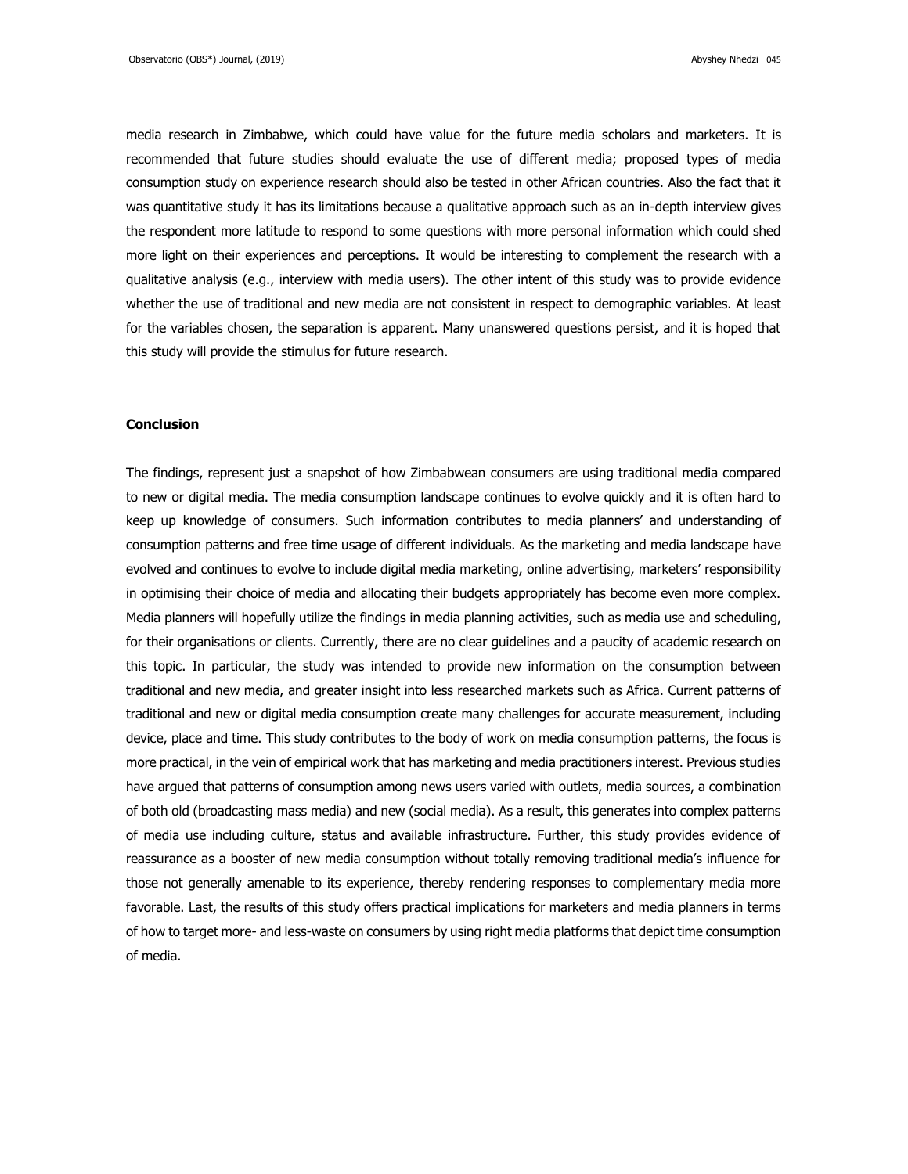media research in Zimbabwe, which could have value for the future media scholars and marketers. It is recommended that future studies should evaluate the use of different media; proposed types of media consumption study on experience research should also be tested in other African countries. Also the fact that it was quantitative study it has its limitations because a qualitative approach such as an in-depth interview gives the respondent more latitude to respond to some questions with more personal information which could shed more light on their experiences and perceptions. It would be interesting to complement the research with a qualitative analysis (e.g., interview with media users). The other intent of this study was to provide evidence whether the use of traditional and new media are not consistent in respect to demographic variables. At least for the variables chosen, the separation is apparent. Many unanswered questions persist, and it is hoped that this study will provide the stimulus for future research.

### **Conclusion**

The findings, represent just a snapshot of how Zimbabwean consumers are using traditional media compared to new or digital media. The media consumption landscape continues to evolve quickly and it is often hard to keep up knowledge of consumers. Such information contributes to media planners' and understanding of consumption patterns and free time usage of different individuals. As the marketing and media landscape have evolved and continues to evolve to include digital media marketing, online advertising, marketers' responsibility in optimising their choice of media and allocating their budgets appropriately has become even more complex. Media planners will hopefully utilize the findings in media planning activities, such as media use and scheduling, for their organisations or clients. Currently, there are no clear guidelines and a paucity of academic research on this topic. In particular, the study was intended to provide new information on the consumption between traditional and new media, and greater insight into less researched markets such as Africa. Current patterns of traditional and new or digital media consumption create many challenges for accurate measurement, including device, place and time. This study contributes to the body of work on media consumption patterns, the focus is more practical, in the vein of empirical work that has marketing and media practitioners interest. Previous studies have argued that patterns of consumption among news users varied with outlets, media sources, a combination of both old (broadcasting mass media) and new (social media). As a result, this generates into complex patterns of media use including culture, status and available infrastructure. Further, this study provides evidence of reassurance as a booster of new media consumption without totally removing traditional media's influence for those not generally amenable to its experience, thereby rendering responses to complementary media more favorable. Last, the results of this study offers practical implications for marketers and media planners in terms of how to target more- and less-waste on consumers by using right media platforms that depict time consumption of media.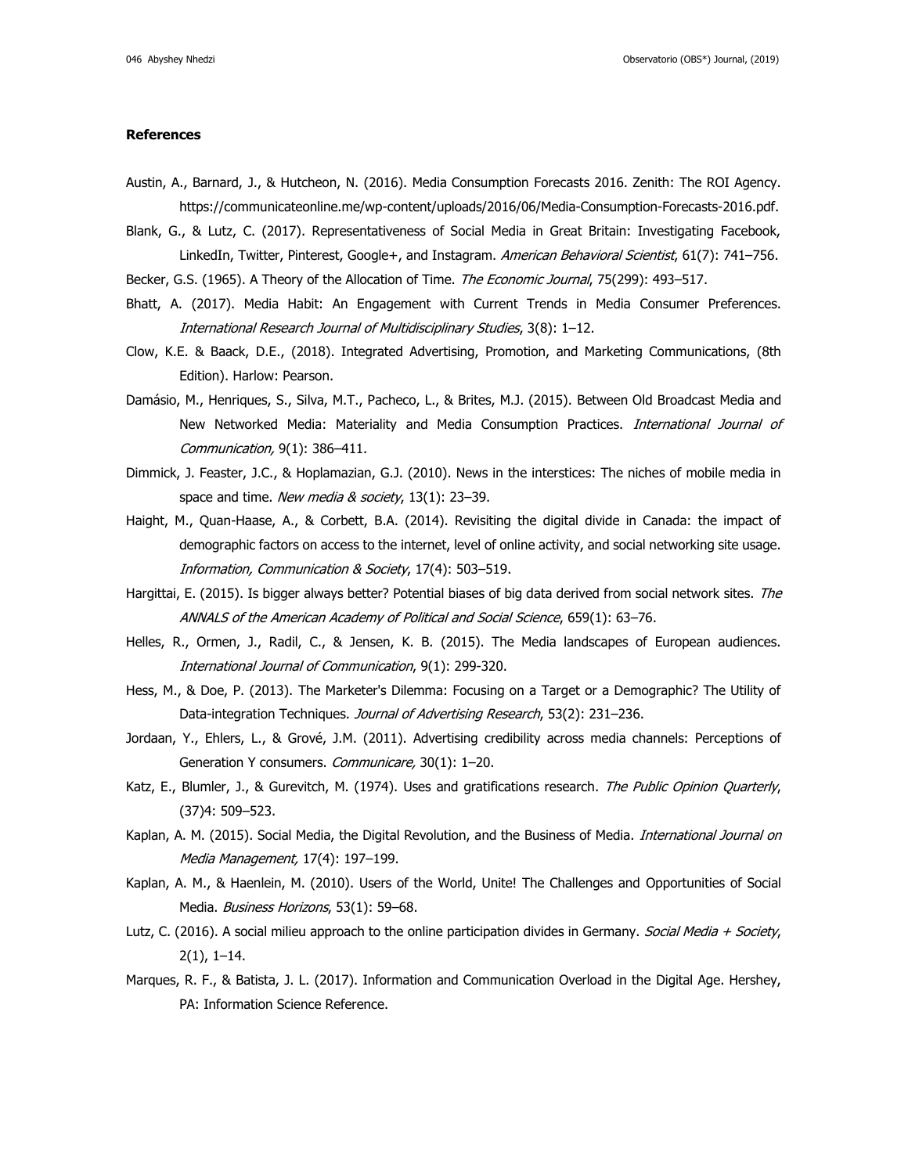#### **References**

- Austin, A., Barnard, J., & Hutcheon, N. (2016). Media Consumption Forecasts 2016. Zenith: The ROI Agency. https://communicateonline.me/wp-content/uploads/2016/06/Media-Consumption-Forecasts-2016.pdf.
- Blank, G., & Lutz, C. (2017). Representativeness of Social Media in Great Britain: Investigating Facebook, LinkedIn, Twitter, Pinterest, Google+, and Instagram. American Behavioral Scientist, 61(7): 741–756.
- Becker, G.S. (1965). A Theory of the Allocation of Time. The Economic Journal, 75(299): 493-517.
- Bhatt, A. (2017). Media Habit: An Engagement with Current Trends in Media Consumer Preferences. International Research Journal of Multidisciplinary Studies, 3(8): 1–12.
- Clow, K.E. & Baack, D.E., (2018). Integrated Advertising, Promotion, and Marketing Communications, (8th Edition). Harlow: Pearson.
- Damásio, M., Henriques, S., Silva, M.T., Pacheco, L., & Brites, M.J. (2015). Between Old Broadcast Media and New Networked Media: Materiality and Media Consumption Practices. International Journal of Communication, 9(1): 386–411.
- Dimmick, J. Feaster, J.C., & Hoplamazian, G.J. (2010). News in the interstices: The niches of mobile media in space and time. New media & society, 13(1): 23-39.
- Haight, M., Quan-Haase, A., & Corbett, B.A. (2014). Revisiting the digital divide in Canada: the impact of demographic factors on access to the internet, level of online activity, and social networking site usage. Information, Communication & Society, 17(4): 503–519.
- Hargittai, E. (2015). Is bigger always better? Potential biases of big data derived from social network sites. The ANNALS of the American Academy of Political and Social Science, 659(1): 63–76.
- Helles, R., Ormen, J., Radil, C., & Jensen, K. B. (2015). The Media landscapes of European audiences. International Journal of Communication, 9(1): 299-320.
- Hess, M., & Doe, P. (2013). The Marketer's Dilemma: Focusing on a Target or a Demographic? The Utility of Data-integration Techniques. Journal of Advertising Research, 53(2): 231-236.
- Jordaan, Y., Ehlers, L., & Grové, J.M. (2011). Advertising credibility across media channels: Perceptions of Generation Y consumers. Communicare, 30(1): 1–20.
- Katz, E., Blumler, J., & Gurevitch, M. (1974). Uses and gratifications research. The Public Opinion Quarterly, (37)4: 509–523.
- Kaplan, A. M. (2015). Social Media, the Digital Revolution, and the Business of Media. International Journal on Media Management, 17(4): 197–199.
- Kaplan, A. M., & Haenlein, M. (2010). Users of the World, Unite! The Challenges and Opportunities of Social Media. Business Horizons, 53(1): 59-68.
- Lutz, C. (2016). A social milieu approach to the online participation divides in Germany. Social Media + Society, 2(1), 1–14.
- Marques, R. F., & Batista, J. L. (2017). Information and Communication Overload in the Digital Age. Hershey, PA: Information Science Reference.